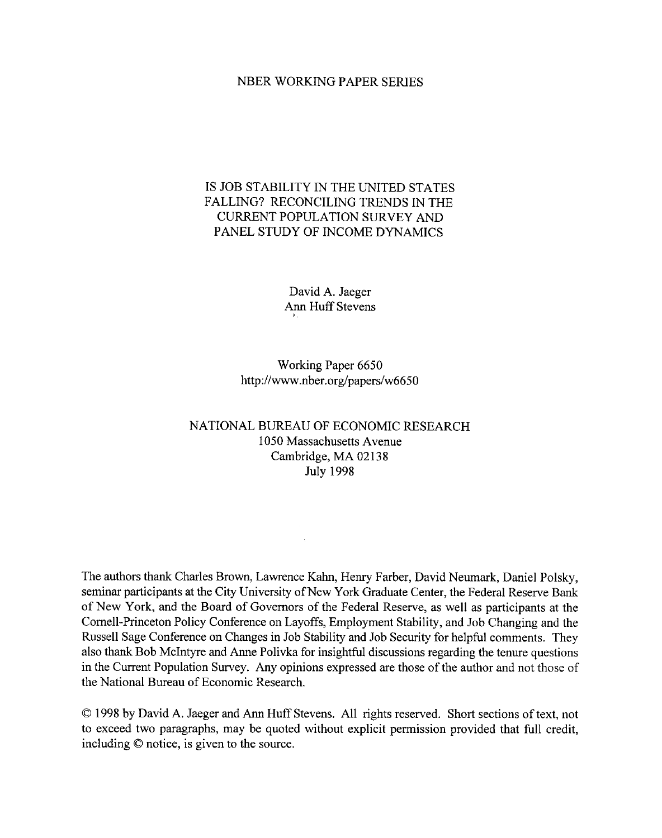### **NBER WORKING PAPER SERIES**

# IS JOB STABILITY IN THE UNITED STATES FALLING? RECONCILING TRENDS IN THE **CURRENT POPULATION SURVEY AND** PANEL STUDY OF INCOME DYNAMICS

David A. Jaeger **Ann Huff Stevens** 

Working Paper 6650 http://www.nber.org/papers/w6650

## NATIONAL BUREAU OF ECONOMIC RESEARCH 1050 Massachusetts Avenue Cambridge, MA 02138 **July 1998**

The authors thank Charles Brown, Lawrence Kahn, Henry Farber, David Neumark, Daniel Polsky, seminar participants at the City University of New York Graduate Center, the Federal Reserve Bank of New York, and the Board of Governors of the Federal Reserve, as well as participants at the Cornell-Princeton Policy Conference on Layoffs, Employment Stability, and Job Changing and the Russell Sage Conference on Changes in Job Stability and Job Security for helpful comments. They also thank Bob McIntyre and Anne Polivka for insightful discussions regarding the tenure questions in the Current Population Survey. Any opinions expressed are those of the author and not those of the National Bureau of Economic Research.

© 1998 by David A. Jaeger and Ann Huff Stevens. All rights reserved. Short sections of text, not to exceed two paragraphs, may be quoted without explicit permission provided that full credit, including © notice, is given to the source.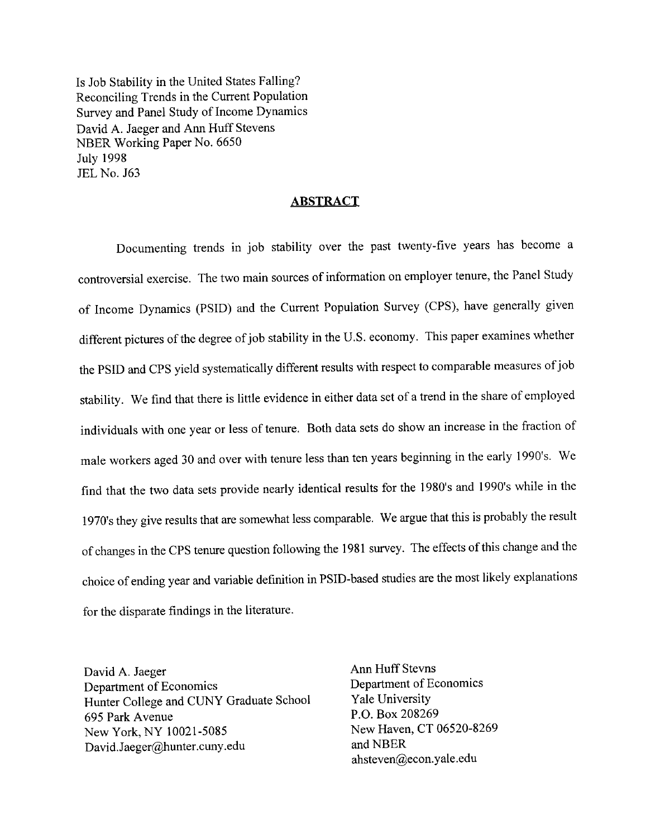Is Job Stability in the United States Falling? Reconciling Trends in the Current Population Survey and Panel Study of Income Dynamics David A. Jaeger and Ann Huff Stevens NBER Working Paper No. 6650 **July 1998 JEL No. J63** 

### **ABSTRACT**

Documenting trends in job stability over the past twenty-five years has become a controversial exercise. The two main sources of information on employer tenure, the Panel Study of Income Dynamics (PSID) and the Current Population Survey (CPS), have generally given different pictures of the degree of job stability in the U.S. economy. This paper examines whether the PSID and CPS yield systematically different results with respect to comparable measures of job stability. We find that there is little evidence in either data set of a trend in the share of employed individuals with one year or less of tenure. Both data sets do show an increase in the fraction of male workers aged 30 and over with tenure less than ten years beginning in the early 1990's. We find that the two data sets provide nearly identical results for the 1980's and 1990's while in the 1970's they give results that are somewhat less comparable. We argue that this is probably the result of changes in the CPS tenure question following the 1981 survey. The effects of this change and the choice of ending year and variable definition in PSID-based studies are the most likely explanations for the disparate findings in the literature.

David A. Jaeger Department of Economics Hunter College and CUNY Graduate School 695 Park Avenue New York, NY 10021-5085 David.Jaeger@hunter.cuny.edu

Ann Huff Stevns Department of Economics Yale University P.O. Box 208269 New Haven, CT 06520-8269 and NBER ahsteven@econ.yale.edu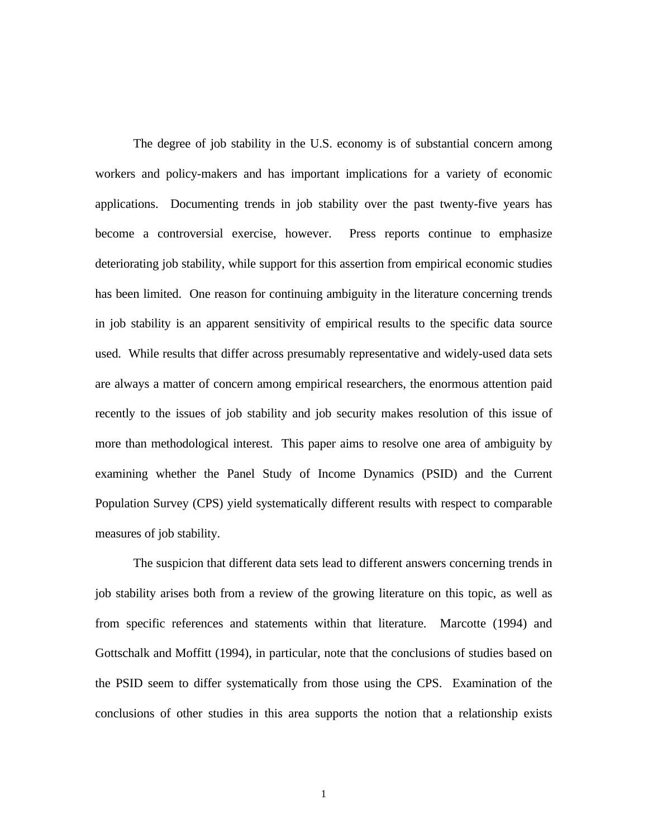The degree of job stability in the U.S. economy is of substantial concern among workers and policy-makers and has important implications for a variety of economic applications. Documenting trends in job stability over the past twenty-five years has become a controversial exercise, however. Press reports continue to emphasize deteriorating job stability, while support for this assertion from empirical economic studies has been limited. One reason for continuing ambiguity in the literature concerning trends in job stability is an apparent sensitivity of empirical results to the specific data source used. While results that differ across presumably representative and widely-used data sets are always a matter of concern among empirical researchers, the enormous attention paid recently to the issues of job stability and job security makes resolution of this issue of more than methodological interest. This paper aims to resolve one area of ambiguity by examining whether the Panel Study of Income Dynamics (PSID) and the Current Population Survey (CPS) yield systematically different results with respect to comparable measures of job stability.

The suspicion that different data sets lead to different answers concerning trends in job stability arises both from a review of the growing literature on this topic, as well as from specific references and statements within that literature. Marcotte (1994) and Gottschalk and Moffitt (1994), in particular, note that the conclusions of studies based on the PSID seem to differ systematically from those using the CPS. Examination of the conclusions of other studies in this area supports the notion that a relationship exists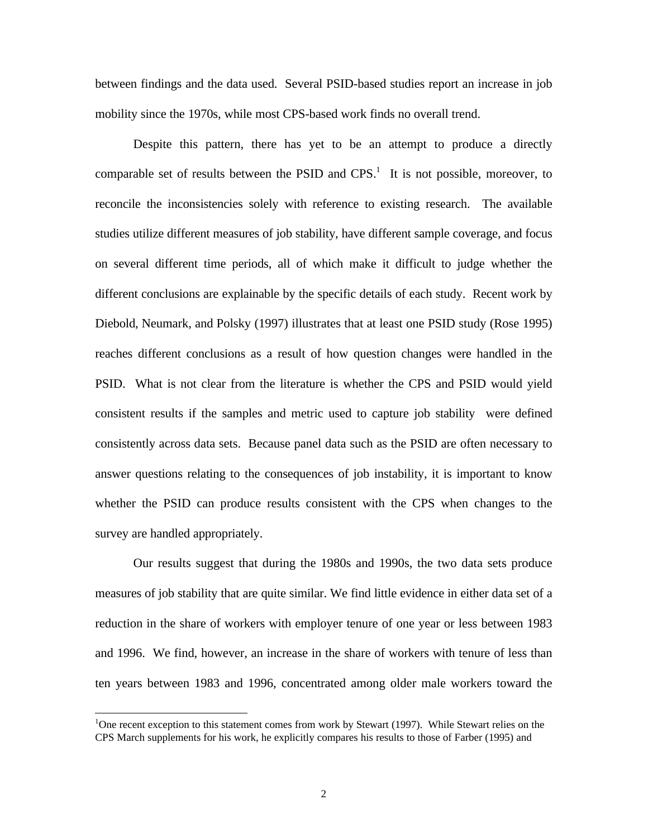between findings and the data used. Several PSID-based studies report an increase in job mobility since the 1970s, while most CPS-based work finds no overall trend.

Despite this pattern, there has yet to be an attempt to produce a directly comparable set of results between the PSID and  $CPS$ <sup>1</sup>. It is not possible, moreover, to reconcile the inconsistencies solely with reference to existing research. The available studies utilize different measures of job stability, have different sample coverage, and focus on several different time periods, all of which make it difficult to judge whether the different conclusions are explainable by the specific details of each study. Recent work by Diebold, Neumark, and Polsky (1997) illustrates that at least one PSID study (Rose 1995) reaches different conclusions as a result of how question changes were handled in the PSID. What is not clear from the literature is whether the CPS and PSID would yield consistent results if the samples and metric used to capture job stability were defined consistently across data sets. Because panel data such as the PSID are often necessary to answer questions relating to the consequences of job instability, it is important to know whether the PSID can produce results consistent with the CPS when changes to the survey are handled appropriately.

Our results suggest that during the 1980s and 1990s, the two data sets produce measures of job stability that are quite similar. We find little evidence in either data set of a reduction in the share of workers with employer tenure of one year or less between 1983 and 1996. We find, however, an increase in the share of workers with tenure of less than ten years between 1983 and 1996, concentrated among older male workers toward the

 $\overline{a}$ 

<sup>&</sup>lt;sup>1</sup>One recent exception to this statement comes from work by Stewart (1997). While Stewart relies on the CPS March supplements for his work, he explicitly compares his results to those of Farber (1995) and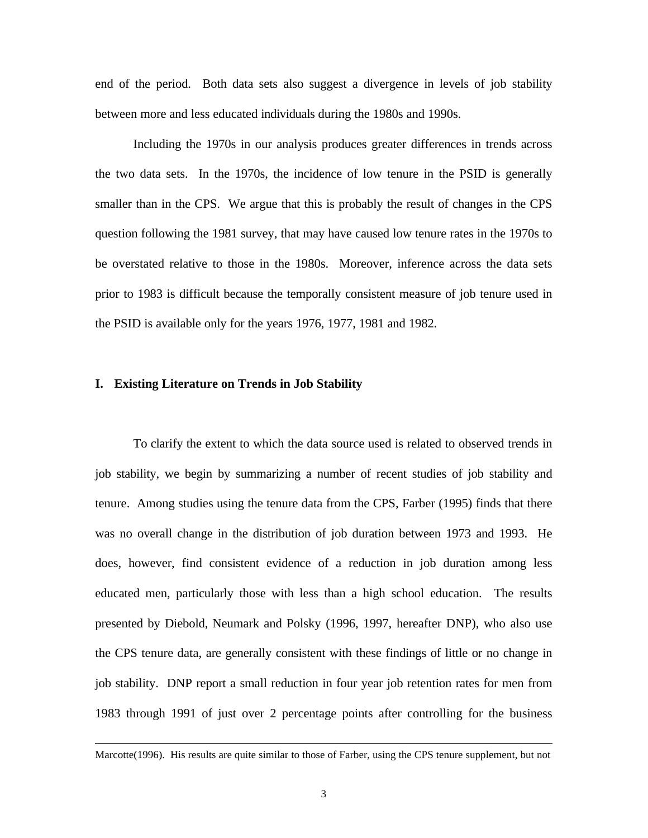end of the period. Both data sets also suggest a divergence in levels of job stability between more and less educated individuals during the 1980s and 1990s.

Including the 1970s in our analysis produces greater differences in trends across the two data sets. In the 1970s, the incidence of low tenure in the PSID is generally smaller than in the CPS. We argue that this is probably the result of changes in the CPS question following the 1981 survey, that may have caused low tenure rates in the 1970s to be overstated relative to those in the 1980s. Moreover, inference across the data sets prior to 1983 is difficult because the temporally consistent measure of job tenure used in the PSID is available only for the years 1976, 1977, 1981 and 1982.

### **I. Existing Literature on Trends in Job Stability**

1

To clarify the extent to which the data source used is related to observed trends in job stability, we begin by summarizing a number of recent studies of job stability and tenure. Among studies using the tenure data from the CPS, Farber (1995) finds that there was no overall change in the distribution of job duration between 1973 and 1993. He does, however, find consistent evidence of a reduction in job duration among less educated men, particularly those with less than a high school education. The results presented by Diebold, Neumark and Polsky (1996, 1997, hereafter DNP), who also use the CPS tenure data, are generally consistent with these findings of little or no change in job stability. DNP report a small reduction in four year job retention rates for men from 1983 through 1991 of just over 2 percentage points after controlling for the business

Marcotte(1996). His results are quite similar to those of Farber, using the CPS tenure supplement, but not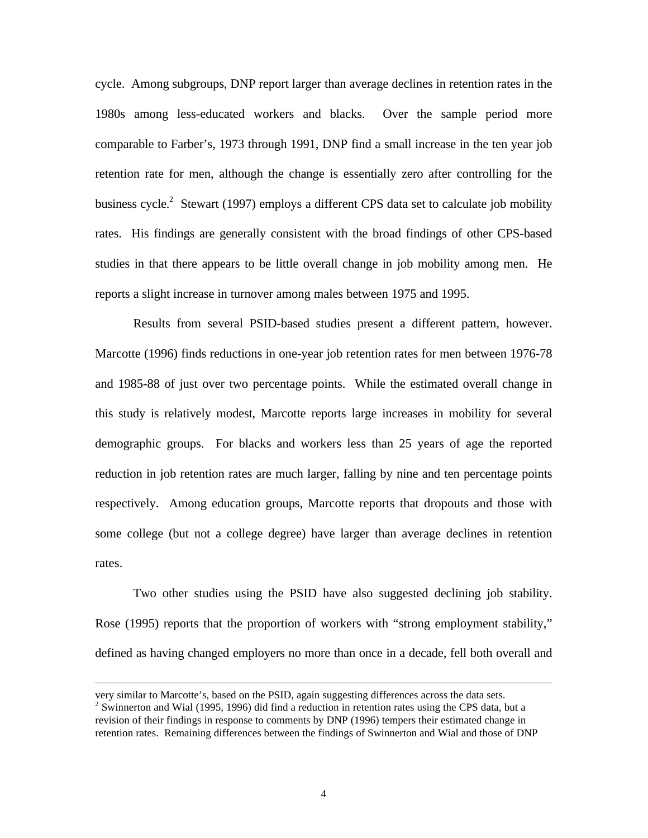cycle. Among subgroups, DNP report larger than average declines in retention rates in the 1980s among less-educated workers and blacks. Over the sample period more comparable to Farber's, 1973 through 1991, DNP find a small increase in the ten year job retention rate for men, although the change is essentially zero after controlling for the business cycle.<sup>2</sup> Stewart (1997) employs a different CPS data set to calculate job mobility rates. His findings are generally consistent with the broad findings of other CPS-based studies in that there appears to be little overall change in job mobility among men. He reports a slight increase in turnover among males between 1975 and 1995.

Results from several PSID-based studies present a different pattern, however. Marcotte (1996) finds reductions in one-year job retention rates for men between 1976-78 and 1985-88 of just over two percentage points. While the estimated overall change in this study is relatively modest, Marcotte reports large increases in mobility for several demographic groups. For blacks and workers less than 25 years of age the reported reduction in job retention rates are much larger, falling by nine and ten percentage points respectively. Among education groups, Marcotte reports that dropouts and those with some college (but not a college degree) have larger than average declines in retention rates.

Two other studies using the PSID have also suggested declining job stability. Rose (1995) reports that the proportion of workers with "strong employment stability," defined as having changed employers no more than once in a decade, fell both overall and

1

very similar to Marcotte's, based on the PSID, again suggesting differences across the data sets. <sup>2</sup> Swinnerton and Wial (1995, 1996) did find a reduction in retention rates using the CPS data, but a revision of their findings in response to comments by DNP (1996) tempers their estimated change in retention rates. Remaining differences between the findings of Swinnerton and Wial and those of DNP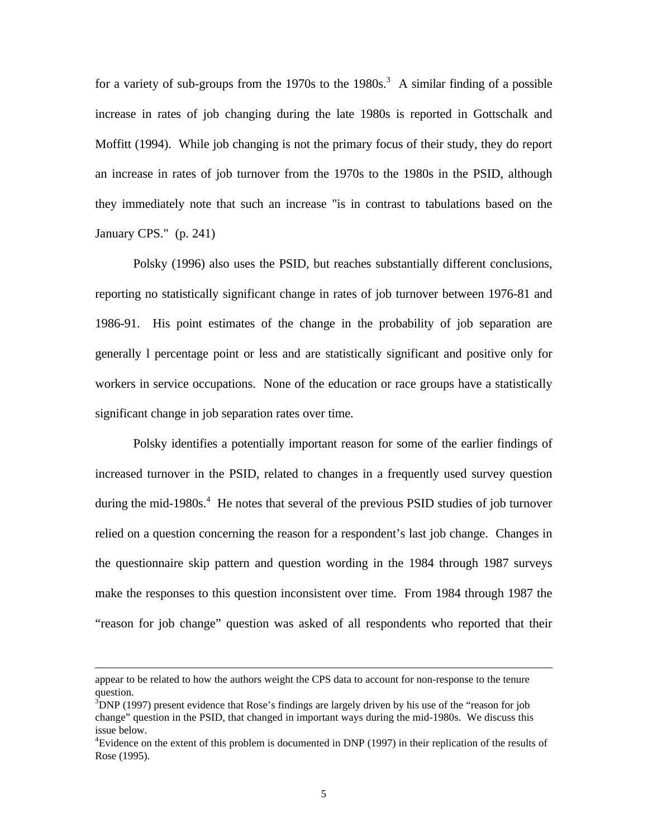for a variety of sub-groups from the 1970s to the  $1980s$ .<sup>3</sup> A similar finding of a possible increase in rates of job changing during the late 1980s is reported in Gottschalk and Moffitt (1994). While job changing is not the primary focus of their study, they do report an increase in rates of job turnover from the 1970s to the 1980s in the PSID, although they immediately note that such an increase "is in contrast to tabulations based on the January CPS." (p. 241)

Polsky (1996) also uses the PSID, but reaches substantially different conclusions, reporting no statistically significant change in rates of job turnover between 1976-81 and 1986-91. His point estimates of the change in the probability of job separation are generally l percentage point or less and are statistically significant and positive only for workers in service occupations. None of the education or race groups have a statistically significant change in job separation rates over time.

Polsky identifies a potentially important reason for some of the earlier findings of increased turnover in the PSID, related to changes in a frequently used survey question during the mid-1980s.<sup>4</sup> He notes that several of the previous PSID studies of job turnover relied on a question concerning the reason for a respondent's last job change. Changes in the questionnaire skip pattern and question wording in the 1984 through 1987 surveys make the responses to this question inconsistent over time. From 1984 through 1987 the "reason for job change" question was asked of all respondents who reported that their

-

appear to be related to how the authors weight the CPS data to account for non-response to the tenure question.

 $3DNP$  (1997) present evidence that Rose's findings are largely driven by his use of the "reason for job" change" question in the PSID, that changed in important ways during the mid-1980s. We discuss this issue below.

<sup>4</sup>Evidence on the extent of this problem is documented in DNP (1997) in their replication of the results of Rose (1995).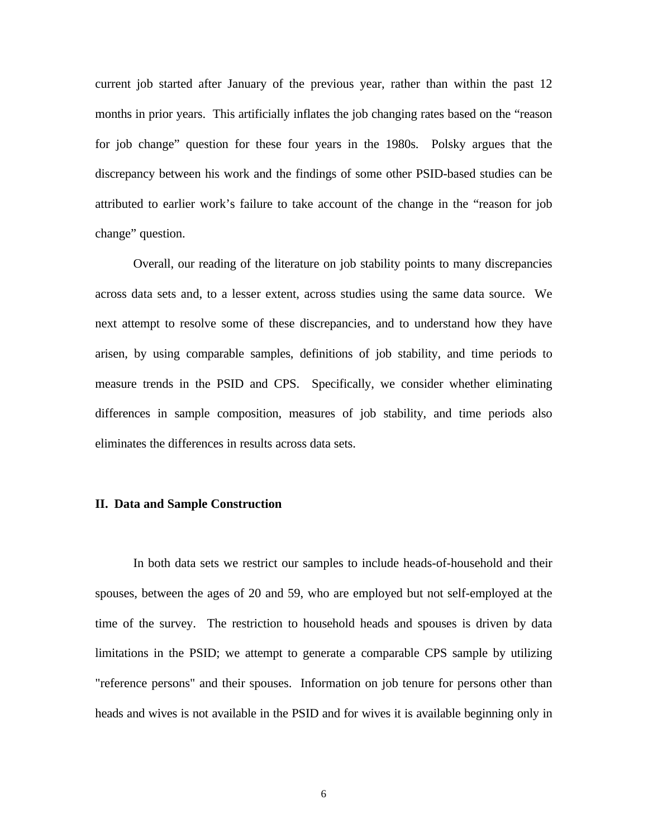current job started after January of the previous year, rather than within the past 12 months in prior years. This artificially inflates the job changing rates based on the "reason for job change" question for these four years in the 1980s. Polsky argues that the discrepancy between his work and the findings of some other PSID-based studies can be attributed to earlier work's failure to take account of the change in the "reason for job change" question.

Overall, our reading of the literature on job stability points to many discrepancies across data sets and, to a lesser extent, across studies using the same data source. We next attempt to resolve some of these discrepancies, and to understand how they have arisen, by using comparable samples, definitions of job stability, and time periods to measure trends in the PSID and CPS. Specifically, we consider whether eliminating differences in sample composition, measures of job stability, and time periods also eliminates the differences in results across data sets.

### **II. Data and Sample Construction**

In both data sets we restrict our samples to include heads-of-household and their spouses, between the ages of 20 and 59, who are employed but not self-employed at the time of the survey. The restriction to household heads and spouses is driven by data limitations in the PSID; we attempt to generate a comparable CPS sample by utilizing "reference persons" and their spouses. Information on job tenure for persons other than heads and wives is not available in the PSID and for wives it is available beginning only in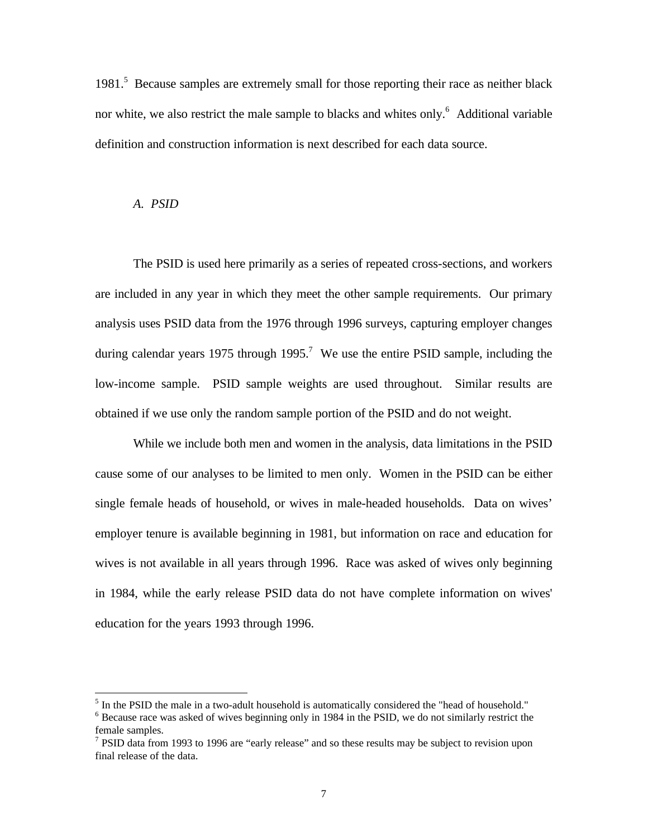1981.<sup>5</sup> Because samples are extremely small for those reporting their race as neither black nor white, we also restrict the male sample to blacks and whites only.<sup>6</sup> Additional variable definition and construction information is next described for each data source.

#### *A. PSID*

-

The PSID is used here primarily as a series of repeated cross-sections, and workers are included in any year in which they meet the other sample requirements. Our primary analysis uses PSID data from the 1976 through 1996 surveys, capturing employer changes during calendar years 1975 through 1995.<sup>7</sup> We use the entire PSID sample, including the low-income sample. PSID sample weights are used throughout. Similar results are obtained if we use only the random sample portion of the PSID and do not weight.

While we include both men and women in the analysis, data limitations in the PSID cause some of our analyses to be limited to men only. Women in the PSID can be either single female heads of household, or wives in male-headed households. Data on wives' employer tenure is available beginning in 1981, but information on race and education for wives is not available in all years through 1996. Race was asked of wives only beginning in 1984, while the early release PSID data do not have complete information on wives' education for the years 1993 through 1996.

 $<sup>5</sup>$  In the PSID the male in a two-adult household is automatically considered the "head of household."</sup>

<sup>&</sup>lt;sup>6</sup> Because race was asked of wives beginning only in 1984 in the PSID, we do not similarly restrict the female samples.

<sup>&</sup>lt;sup>7</sup> PSID data from 1993 to 1996 are "early release" and so these results may be subject to revision upon final release of the data.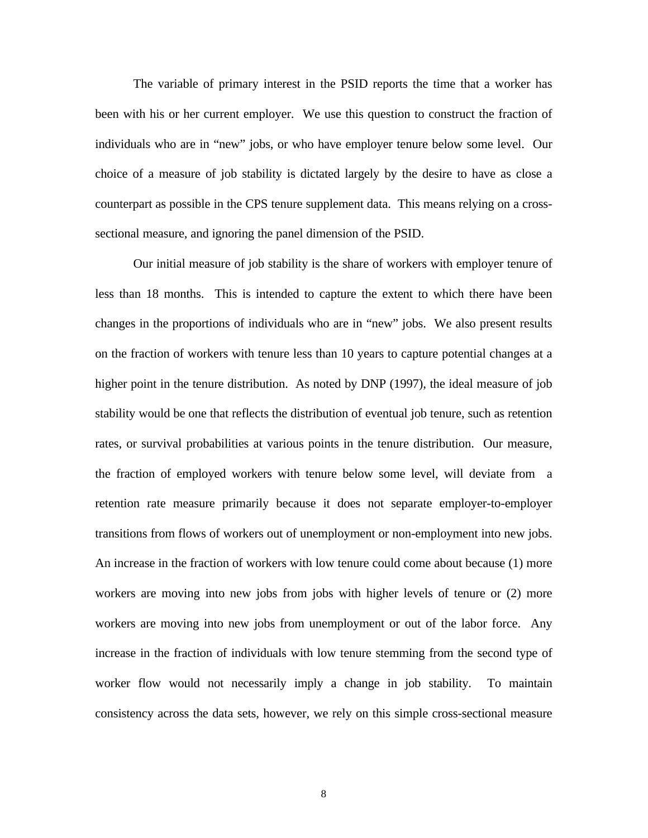The variable of primary interest in the PSID reports the time that a worker has been with his or her current employer. We use this question to construct the fraction of individuals who are in "new" jobs, or who have employer tenure below some level. Our choice of a measure of job stability is dictated largely by the desire to have as close a counterpart as possible in the CPS tenure supplement data. This means relying on a crosssectional measure, and ignoring the panel dimension of the PSID.

Our initial measure of job stability is the share of workers with employer tenure of less than 18 months. This is intended to capture the extent to which there have been changes in the proportions of individuals who are in "new" jobs. We also present results on the fraction of workers with tenure less than 10 years to capture potential changes at a higher point in the tenure distribution. As noted by DNP (1997), the ideal measure of job stability would be one that reflects the distribution of eventual job tenure, such as retention rates, or survival probabilities at various points in the tenure distribution. Our measure, the fraction of employed workers with tenure below some level, will deviate from a retention rate measure primarily because it does not separate employer-to-employer transitions from flows of workers out of unemployment or non-employment into new jobs. An increase in the fraction of workers with low tenure could come about because (1) more workers are moving into new jobs from jobs with higher levels of tenure or (2) more workers are moving into new jobs from unemployment or out of the labor force. Any increase in the fraction of individuals with low tenure stemming from the second type of worker flow would not necessarily imply a change in job stability. To maintain consistency across the data sets, however, we rely on this simple cross-sectional measure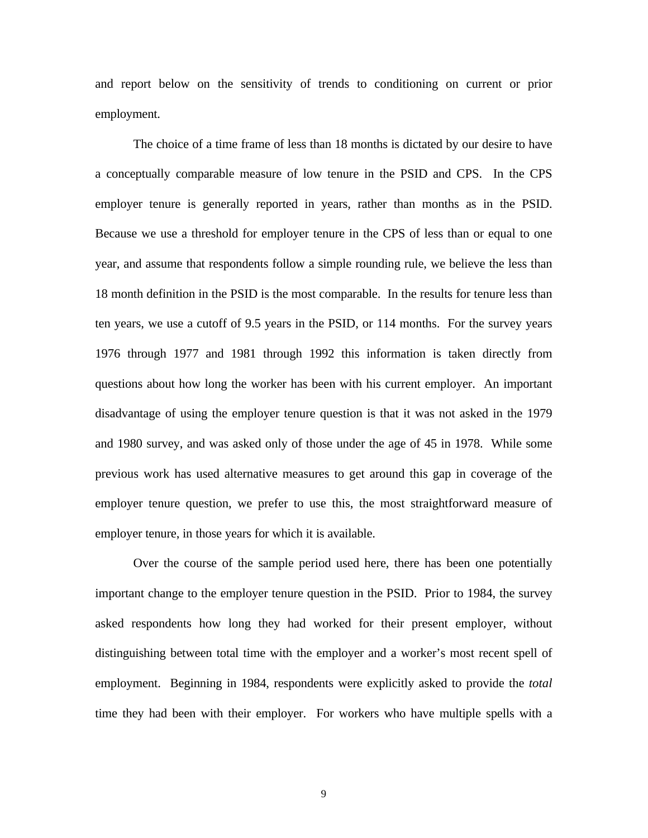and report below on the sensitivity of trends to conditioning on current or prior employment.

The choice of a time frame of less than 18 months is dictated by our desire to have a conceptually comparable measure of low tenure in the PSID and CPS. In the CPS employer tenure is generally reported in years, rather than months as in the PSID. Because we use a threshold for employer tenure in the CPS of less than or equal to one year, and assume that respondents follow a simple rounding rule, we believe the less than 18 month definition in the PSID is the most comparable. In the results for tenure less than ten years, we use a cutoff of 9.5 years in the PSID, or 114 months. For the survey years 1976 through 1977 and 1981 through 1992 this information is taken directly from questions about how long the worker has been with his current employer. An important disadvantage of using the employer tenure question is that it was not asked in the 1979 and 1980 survey, and was asked only of those under the age of 45 in 1978. While some previous work has used alternative measures to get around this gap in coverage of the employer tenure question, we prefer to use this, the most straightforward measure of employer tenure, in those years for which it is available.

Over the course of the sample period used here, there has been one potentially important change to the employer tenure question in the PSID. Prior to 1984, the survey asked respondents how long they had worked for their present employer, without distinguishing between total time with the employer and a worker's most recent spell of employment. Beginning in 1984, respondents were explicitly asked to provide the *total* time they had been with their employer. For workers who have multiple spells with a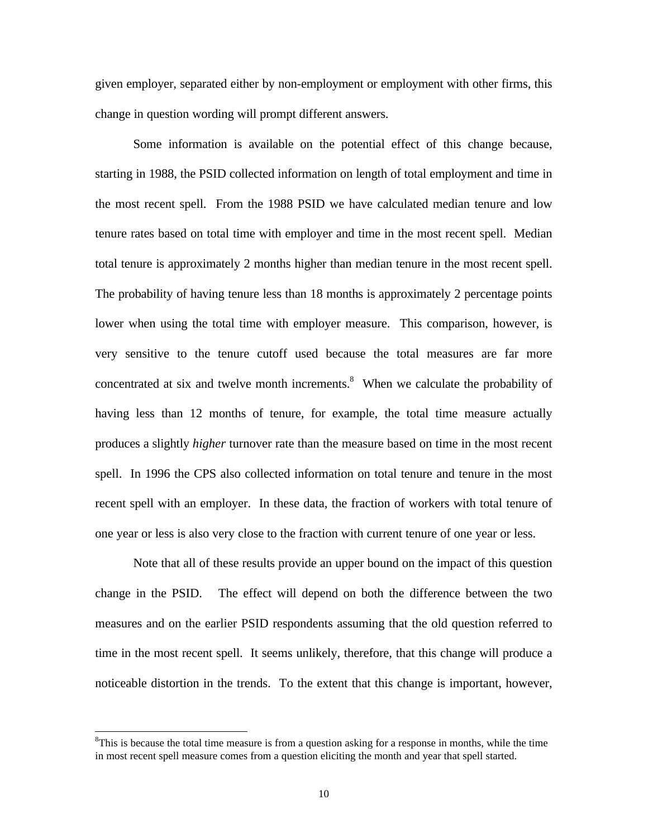given employer, separated either by non-employment or employment with other firms, this change in question wording will prompt different answers.

Some information is available on the potential effect of this change because, starting in 1988, the PSID collected information on length of total employment and time in the most recent spell. From the 1988 PSID we have calculated median tenure and low tenure rates based on total time with employer and time in the most recent spell. Median total tenure is approximately 2 months higher than median tenure in the most recent spell. The probability of having tenure less than 18 months is approximately 2 percentage points lower when using the total time with employer measure. This comparison, however, is very sensitive to the tenure cutoff used because the total measures are far more concentrated at six and twelve month increments.<sup>8</sup> When we calculate the probability of having less than 12 months of tenure, for example, the total time measure actually produces a slightly *higher* turnover rate than the measure based on time in the most recent spell. In 1996 the CPS also collected information on total tenure and tenure in the most recent spell with an employer. In these data, the fraction of workers with total tenure of one year or less is also very close to the fraction with current tenure of one year or less.

Note that all of these results provide an upper bound on the impact of this question change in the PSID. The effect will depend on both the difference between the two measures and on the earlier PSID respondents assuming that the old question referred to time in the most recent spell. It seems unlikely, therefore, that this change will produce a noticeable distortion in the trends. To the extent that this change is important, however,

 $\overline{a}$ 

<sup>&</sup>lt;sup>8</sup>This is because the total time measure is from a question asking for a response in months, while the time in most recent spell measure comes from a question eliciting the month and year that spell started.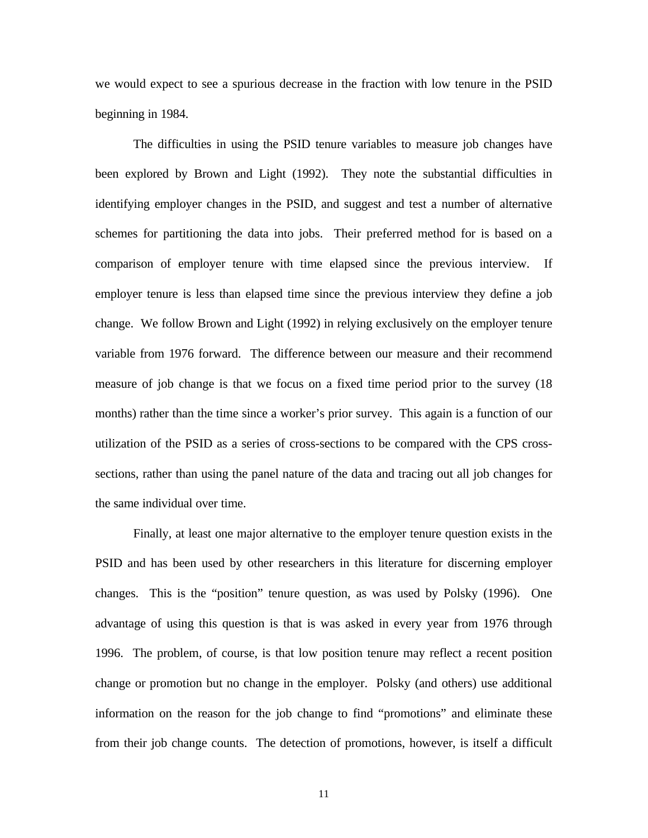we would expect to see a spurious decrease in the fraction with low tenure in the PSID beginning in 1984.

The difficulties in using the PSID tenure variables to measure job changes have been explored by Brown and Light (1992). They note the substantial difficulties in identifying employer changes in the PSID, and suggest and test a number of alternative schemes for partitioning the data into jobs. Their preferred method for is based on a comparison of employer tenure with time elapsed since the previous interview. If employer tenure is less than elapsed time since the previous interview they define a job change. We follow Brown and Light (1992) in relying exclusively on the employer tenure variable from 1976 forward. The difference between our measure and their recommend measure of job change is that we focus on a fixed time period prior to the survey (18 months) rather than the time since a worker's prior survey. This again is a function of our utilization of the PSID as a series of cross-sections to be compared with the CPS crosssections, rather than using the panel nature of the data and tracing out all job changes for the same individual over time.

Finally, at least one major alternative to the employer tenure question exists in the PSID and has been used by other researchers in this literature for discerning employer changes. This is the "position" tenure question, as was used by Polsky (1996). One advantage of using this question is that is was asked in every year from 1976 through 1996. The problem, of course, is that low position tenure may reflect a recent position change or promotion but no change in the employer. Polsky (and others) use additional information on the reason for the job change to find "promotions" and eliminate these from their job change counts. The detection of promotions, however, is itself a difficult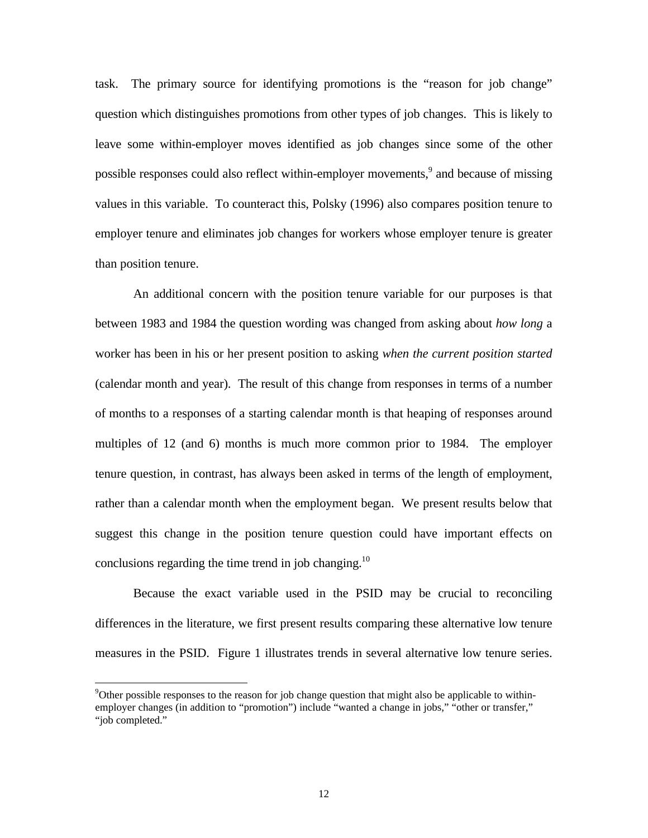task. The primary source for identifying promotions is the "reason for job change" question which distinguishes promotions from other types of job changes. This is likely to leave some within-employer moves identified as job changes since some of the other possible responses could also reflect within-employer movements,<sup>9</sup> and because of missing values in this variable. To counteract this, Polsky (1996) also compares position tenure to employer tenure and eliminates job changes for workers whose employer tenure is greater than position tenure.

An additional concern with the position tenure variable for our purposes is that between 1983 and 1984 the question wording was changed from asking about *how long* a worker has been in his or her present position to asking *when the current position started* (calendar month and year). The result of this change from responses in terms of a number of months to a responses of a starting calendar month is that heaping of responses around multiples of 12 (and 6) months is much more common prior to 1984. The employer tenure question, in contrast, has always been asked in terms of the length of employment, rather than a calendar month when the employment began. We present results below that suggest this change in the position tenure question could have important effects on conclusions regarding the time trend in job changing.<sup>10</sup>

Because the exact variable used in the PSID may be crucial to reconciling differences in the literature, we first present results comparing these alternative low tenure measures in the PSID. Figure 1 illustrates trends in several alternative low tenure series.

 $\overline{a}$ 

<sup>&</sup>lt;sup>9</sup>Other possible responses to the reason for job change question that might also be applicable to withinemployer changes (in addition to "promotion") include "wanted a change in jobs," "other or transfer," "job completed."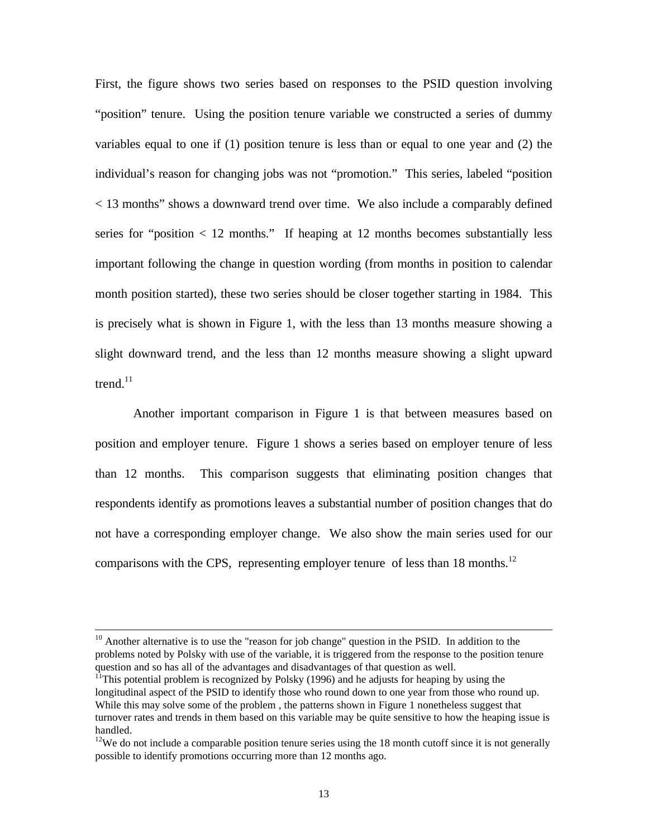First, the figure shows two series based on responses to the PSID question involving "position" tenure. Using the position tenure variable we constructed a series of dummy variables equal to one if (1) position tenure is less than or equal to one year and (2) the individual's reason for changing jobs was not "promotion." This series, labeled "position < 13 months" shows a downward trend over time. We also include a comparably defined series for "position < 12 months." If heaping at 12 months becomes substantially less important following the change in question wording (from months in position to calendar month position started), these two series should be closer together starting in 1984. This is precisely what is shown in Figure 1, with the less than 13 months measure showing a slight downward trend, and the less than 12 months measure showing a slight upward trend.<sup>11</sup>

Another important comparison in Figure 1 is that between measures based on position and employer tenure. Figure 1 shows a series based on employer tenure of less than 12 months. This comparison suggests that eliminating position changes that respondents identify as promotions leaves a substantial number of position changes that do not have a corresponding employer change. We also show the main series used for our comparisons with the CPS, representing employer tenure of less than 18 months.<sup>12</sup>

 $\overline{a}$ 

 $10$  Another alternative is to use the "reason for job change" question in the PSID. In addition to the problems noted by Polsky with use of the variable, it is triggered from the response to the position tenure question and so has all of the advantages and disadvantages of that question as well.

 $11$ This potential problem is recognized by Polsky (1996) and he adjusts for heaping by using the longitudinal aspect of the PSID to identify those who round down to one year from those who round up. While this may solve some of the problem, the patterns shown in Figure 1 nonetheless suggest that turnover rates and trends in them based on this variable may be quite sensitive to how the heaping issue is handled.

 $12$ We do not include a comparable position tenure series using the 18 month cutoff since it is not generally possible to identify promotions occurring more than 12 months ago.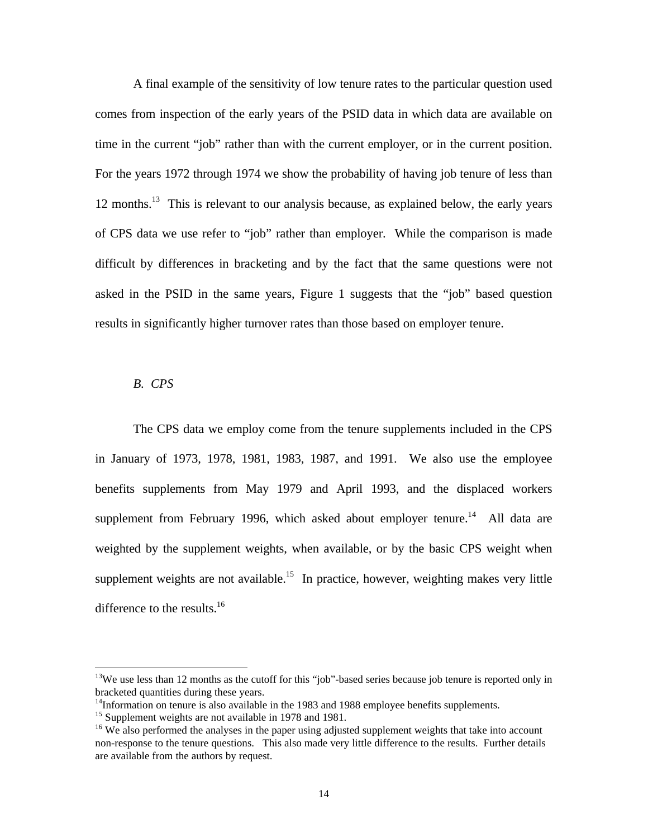A final example of the sensitivity of low tenure rates to the particular question used comes from inspection of the early years of the PSID data in which data are available on time in the current "job" rather than with the current employer, or in the current position. For the years 1972 through 1974 we show the probability of having job tenure of less than 12 months.<sup>13</sup> This is relevant to our analysis because, as explained below, the early years of CPS data we use refer to "job" rather than employer. While the comparison is made difficult by differences in bracketing and by the fact that the same questions were not asked in the PSID in the same years, Figure 1 suggests that the "job" based question results in significantly higher turnover rates than those based on employer tenure.

### *B. CPS*

-

The CPS data we employ come from the tenure supplements included in the CPS in January of 1973, 1978, 1981, 1983, 1987, and 1991. We also use the employee benefits supplements from May 1979 and April 1993, and the displaced workers supplement from February 1996, which asked about employer tenure.<sup>14</sup> All data are weighted by the supplement weights, when available, or by the basic CPS weight when supplement weights are not available.<sup>15</sup> In practice, however, weighting makes very little difference to the results.<sup>16</sup>

<sup>&</sup>lt;sup>13</sup>We use less than 12 months as the cutoff for this "job"-based series because job tenure is reported only in bracketed quantities during these years.

 $14$ Information on tenure is also available in the 1983 and 1988 employee benefits supplements.

<sup>&</sup>lt;sup>15</sup> Supplement weights are not available in 1978 and 1981.

<sup>&</sup>lt;sup>16</sup> We also performed the analyses in the paper using adjusted supplement weights that take into account non-response to the tenure questions. This also made very little difference to the results. Further details are available from the authors by request.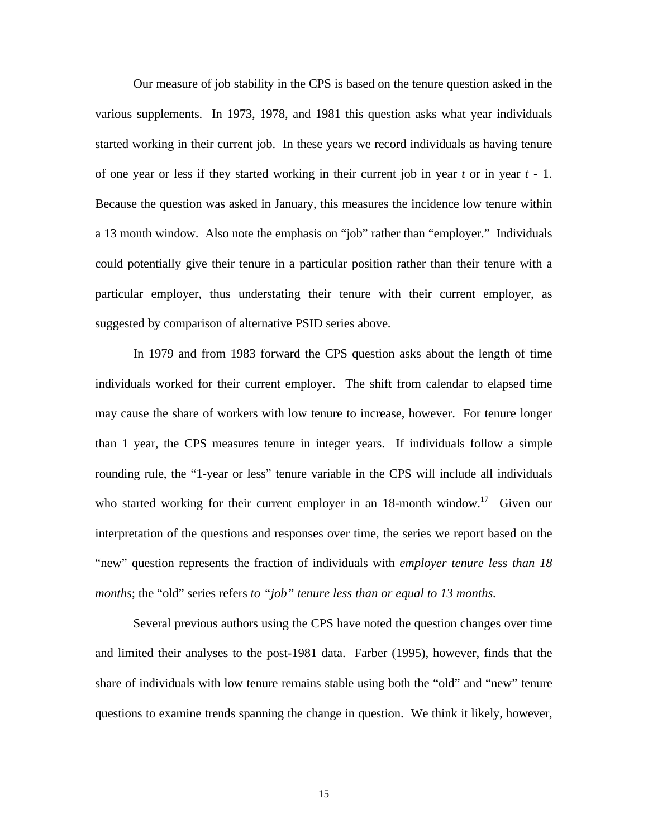Our measure of job stability in the CPS is based on the tenure question asked in the various supplements. In 1973, 1978, and 1981 this question asks what year individuals started working in their current job. In these years we record individuals as having tenure of one year or less if they started working in their current job in year *t* or in year *t* - 1. Because the question was asked in January, this measures the incidence low tenure within a 13 month window. Also note the emphasis on "job" rather than "employer." Individuals could potentially give their tenure in a particular position rather than their tenure with a particular employer, thus understating their tenure with their current employer, as suggested by comparison of alternative PSID series above.

In 1979 and from 1983 forward the CPS question asks about the length of time individuals worked for their current employer. The shift from calendar to elapsed time may cause the share of workers with low tenure to increase, however. For tenure longer than 1 year, the CPS measures tenure in integer years. If individuals follow a simple rounding rule, the "1-year or less" tenure variable in the CPS will include all individuals who started working for their current employer in an  $18$ -month window.<sup>17</sup> Given our interpretation of the questions and responses over time, the series we report based on the "new" question represents the fraction of individuals with *employer tenure less than 18 months*; the "old" series refers *to "job" tenure less than or equal to 13 months.*

Several previous authors using the CPS have noted the question changes over time and limited their analyses to the post-1981 data. Farber (1995), however, finds that the share of individuals with low tenure remains stable using both the "old" and "new" tenure questions to examine trends spanning the change in question. We think it likely, however,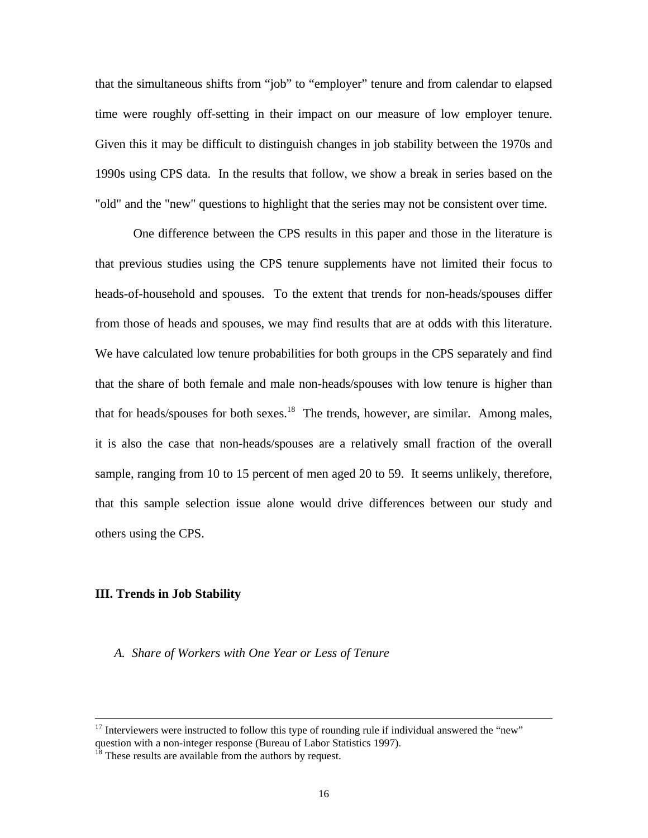that the simultaneous shifts from "job" to "employer" tenure and from calendar to elapsed time were roughly off-setting in their impact on our measure of low employer tenure. Given this it may be difficult to distinguish changes in job stability between the 1970s and 1990s using CPS data. In the results that follow, we show a break in series based on the "old" and the "new" questions to highlight that the series may not be consistent over time.

One difference between the CPS results in this paper and those in the literature is that previous studies using the CPS tenure supplements have not limited their focus to heads-of-household and spouses. To the extent that trends for non-heads/spouses differ from those of heads and spouses, we may find results that are at odds with this literature. We have calculated low tenure probabilities for both groups in the CPS separately and find that the share of both female and male non-heads/spouses with low tenure is higher than that for heads/spouses for both sexes.<sup>18</sup> The trends, however, are similar. Among males, it is also the case that non-heads/spouses are a relatively small fraction of the overall sample, ranging from 10 to 15 percent of men aged 20 to 59. It seems unlikely, therefore, that this sample selection issue alone would drive differences between our study and others using the CPS.

## **III. Trends in Job Stability**

-

*A. Share of Workers with One Year or Less of Tenure*

 $17$  Interviewers were instructed to follow this type of rounding rule if individual answered the "new" question with a non-integer response (Bureau of Labor Statistics 1997).

 $18$ <sup>18</sup> These results are available from the authors by request.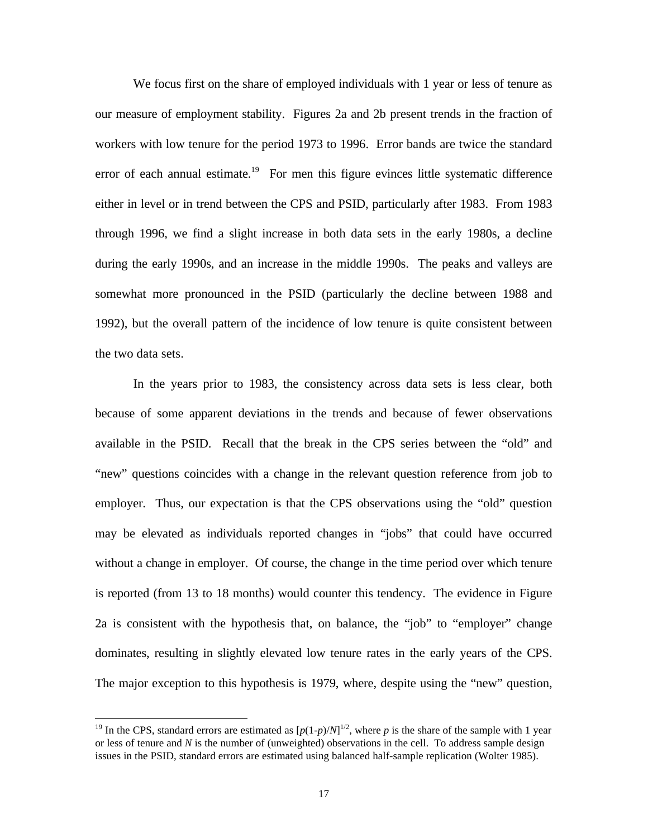We focus first on the share of employed individuals with 1 year or less of tenure as our measure of employment stability. Figures 2a and 2b present trends in the fraction of workers with low tenure for the period 1973 to 1996. Error bands are twice the standard error of each annual estimate.<sup>19</sup> For men this figure evinces little systematic difference either in level or in trend between the CPS and PSID, particularly after 1983.From 1983 through 1996, we find a slight increase in both data sets in the early 1980s, a decline during the early 1990s, and an increase in the middle 1990s. The peaks and valleys are somewhat more pronounced in the PSID (particularly the decline between 1988 and 1992), but the overall pattern of the incidence of low tenure is quite consistent between the two data sets.

In the years prior to 1983, the consistency across data sets is less clear, both because of some apparent deviations in the trends and because of fewer observations available in the PSID. Recall that the break in the CPS series between the "old" and "new" questions coincides with a change in the relevant question reference from job to employer. Thus, our expectation is that the CPS observations using the "old" question may be elevated as individuals reported changes in "jobs" that could have occurred without a change in employer. Of course, the change in the time period over which tenure is reported (from 13 to 18 months) would counter this tendency. The evidence in Figure 2a is consistent with the hypothesis that, on balance, the "job" to "employer" change dominates, resulting in slightly elevated low tenure rates in the early years of the CPS. The major exception to this hypothesis is 1979, where, despite using the "new" question,

-

<sup>&</sup>lt;sup>19</sup> In the CPS, standard errors are estimated as  $[p(1-p)/N]^{1/2}$ , where p is the share of the sample with 1 year or less of tenure and *N* is the number of (unweighted) observations in the cell. To address sample design issues in the PSID, standard errors are estimated using balanced half-sample replication (Wolter 1985).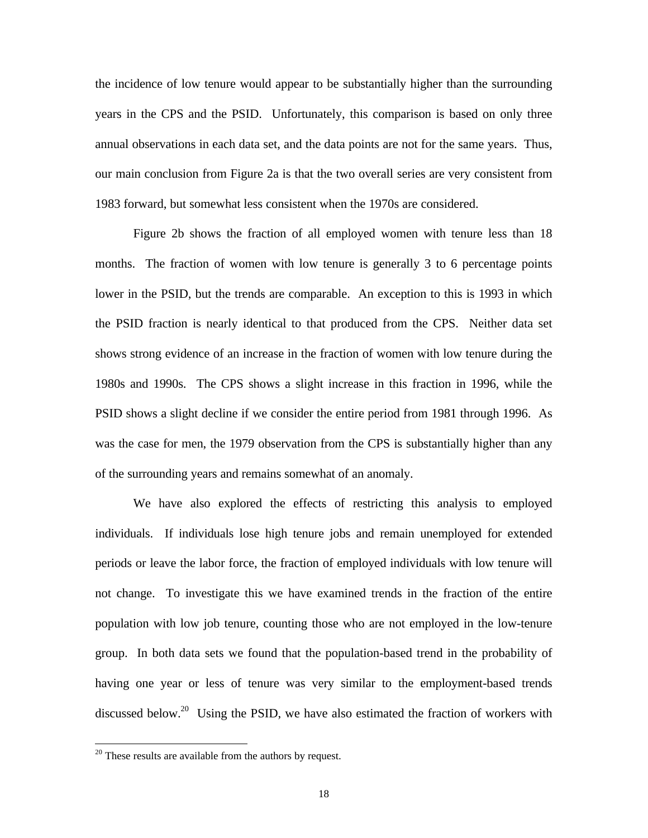the incidence of low tenure would appear to be substantially higher than the surrounding years in the CPS and the PSID. Unfortunately, this comparison is based on only three annual observations in each data set, and the data points are not for the same years. Thus, our main conclusion from Figure 2a is that the two overall series are very consistent from 1983 forward, but somewhat less consistent when the 1970s are considered.

Figure 2b shows the fraction of all employed women with tenure less than 18 months. The fraction of women with low tenure is generally 3 to 6 percentage points lower in the PSID, but the trends are comparable. An exception to this is 1993 in which the PSID fraction is nearly identical to that produced from the CPS. Neither data set shows strong evidence of an increase in the fraction of women with low tenure during the 1980s and 1990s. The CPS shows a slight increase in this fraction in 1996, while the PSID shows a slight decline if we consider the entire period from 1981 through 1996. As was the case for men, the 1979 observation from the CPS is substantially higher than any of the surrounding years and remains somewhat of an anomaly.

We have also explored the effects of restricting this analysis to employed individuals. If individuals lose high tenure jobs and remain unemployed for extended periods or leave the labor force, the fraction of employed individuals with low tenure will not change. To investigate this we have examined trends in the fraction of the entire population with low job tenure, counting those who are not employed in the low-tenure group. In both data sets we found that the population-based trend in the probability of having one year or less of tenure was very similar to the employment-based trends discussed below.<sup>20</sup> Using the PSID, we have also estimated the fraction of workers with

 $\overline{a}$ 

 $20$  These results are available from the authors by request.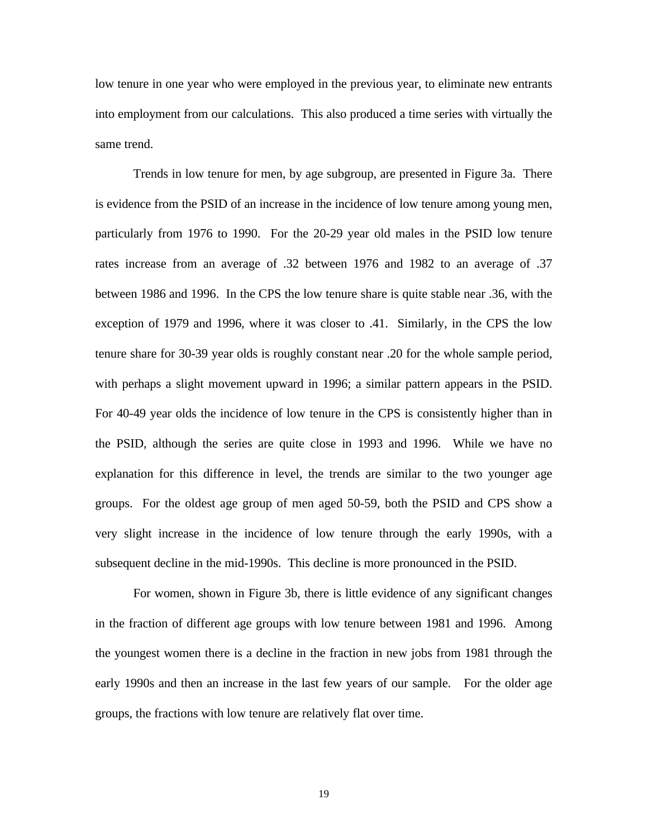low tenure in one year who were employed in the previous year, to eliminate new entrants into employment from our calculations. This also produced a time series with virtually the same trend.

Trends in low tenure for men, by age subgroup, are presented in Figure 3a. There is evidence from the PSID of an increase in the incidence of low tenure among young men, particularly from 1976 to 1990. For the 20-29 year old males in the PSID low tenure rates increase from an average of .32 between 1976 and 1982 to an average of .37 between 1986 and 1996. In the CPS the low tenure share is quite stable near .36, with the exception of 1979 and 1996, where it was closer to .41. Similarly, in the CPS the low tenure share for 30-39 year olds is roughly constant near .20 for the whole sample period, with perhaps a slight movement upward in 1996; a similar pattern appears in the PSID. For 40-49 year olds the incidence of low tenure in the CPS is consistently higher than in the PSID, although the series are quite close in 1993 and 1996. While we have no explanation for this difference in level, the trends are similar to the two younger age groups. For the oldest age group of men aged 50-59, both the PSID and CPS show a very slight increase in the incidence of low tenure through the early 1990s, with a subsequent decline in the mid-1990s. This decline is more pronounced in the PSID.

For women, shown in Figure 3b, there is little evidence of any significant changes in the fraction of different age groups with low tenure between 1981 and 1996. Among the youngest women there is a decline in the fraction in new jobs from 1981 through the early 1990s and then an increase in the last few years of our sample. For the older age groups, the fractions with low tenure are relatively flat over time.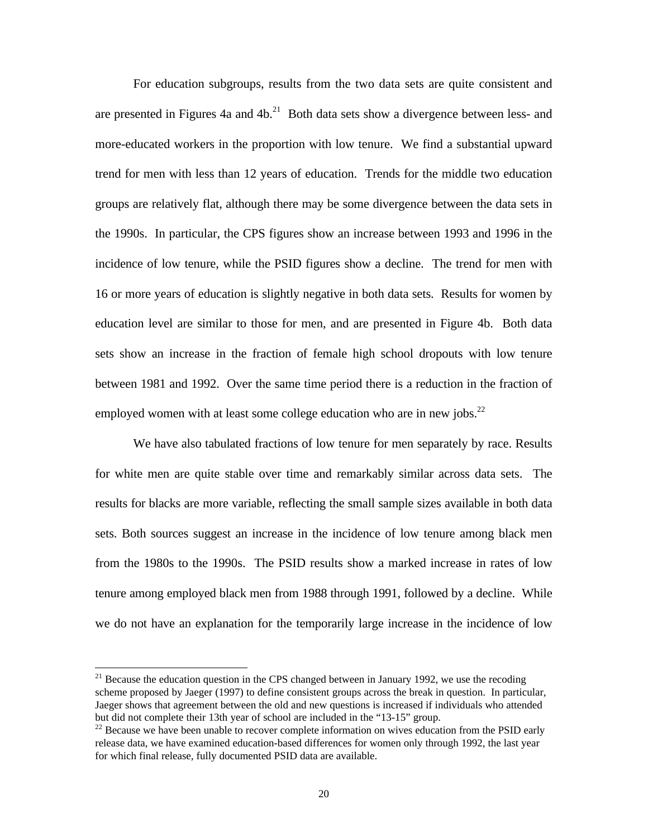For education subgroups, results from the two data sets are quite consistent and are presented in Figures 4a and  $4b$ <sup>21</sup> Both data sets show a divergence between less- and more-educated workers in the proportion with low tenure. We find a substantial upward trend for men with less than 12 years of education. Trends for the middle two education groups are relatively flat, although there may be some divergence between the data sets in the 1990s. In particular, the CPS figures show an increase between 1993 and 1996 in the incidence of low tenure, while the PSID figures show a decline. The trend for men with 16 or more years of education is slightly negative in both data sets. Results for women by education level are similar to those for men, and are presented in Figure 4b. Both data sets show an increase in the fraction of female high school dropouts with low tenure between 1981 and 1992. Over the same time period there is a reduction in the fraction of employed women with at least some college education who are in new jobs. $^{22}$ 

We have also tabulated fractions of low tenure for men separately by race. Results for white men are quite stable over time and remarkably similar across data sets. The results for blacks are more variable, reflecting the small sample sizes available in both data sets. Both sources suggest an increase in the incidence of low tenure among black men from the 1980s to the 1990s. The PSID results show a marked increase in rates of low tenure among employed black men from 1988 through 1991, followed by a decline. While we do not have an explanation for the temporarily large increase in the incidence of low

 $\overline{a}$ 

 $21$  Because the education question in the CPS changed between in January 1992, we use the recoding scheme proposed by Jaeger (1997) to define consistent groups across the break in question. In particular, Jaeger shows that agreement between the old and new questions is increased if individuals who attended but did not complete their 13th year of school are included in the "13-15" group.

 $22$  Because we have been unable to recover complete information on wives education from the PSID early release data, we have examined education-based differences for women only through 1992, the last year for which final release, fully documented PSID data are available.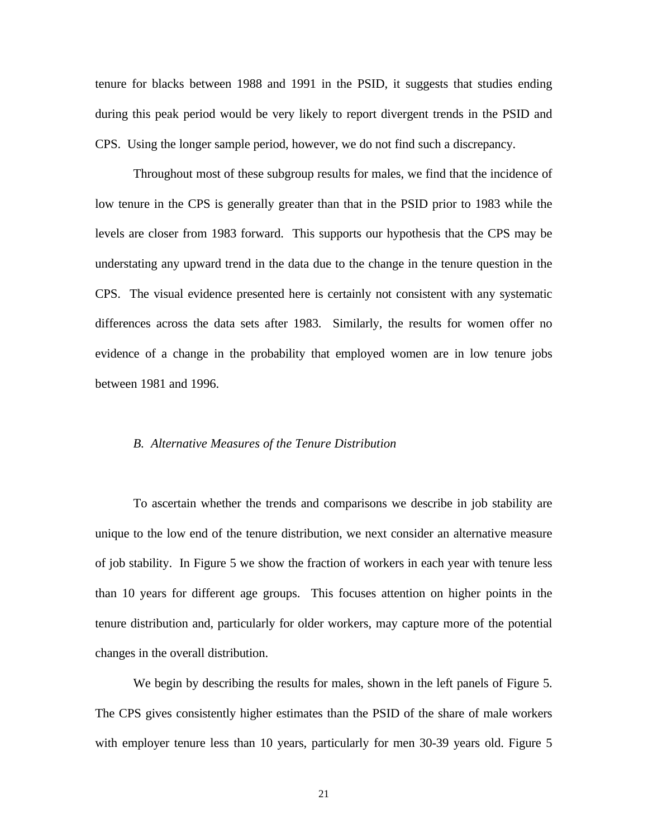tenure for blacks between 1988 and 1991 in the PSID, it suggests that studies ending during this peak period would be very likely to report divergent trends in the PSID and CPS. Using the longer sample period, however, we do not find such a discrepancy.

Throughout most of these subgroup results for males, we find that the incidence of low tenure in the CPS is generally greater than that in the PSID prior to 1983 while the levels are closer from 1983 forward. This supports our hypothesis that the CPS may be understating any upward trend in the data due to the change in the tenure question in the CPS. The visual evidence presented here is certainly not consistent with any systematic differences across the data sets after 1983. Similarly, the results for women offer no evidence of a change in the probability that employed women are in low tenure jobs between 1981 and 1996.

### *B. Alternative Measures of the Tenure Distribution*

To ascertain whether the trends and comparisons we describe in job stability are unique to the low end of the tenure distribution, we next consider an alternative measure of job stability. In Figure 5 we show the fraction of workers in each year with tenure less than 10 years for different age groups. This focuses attention on higher points in the tenure distribution and, particularly for older workers, may capture more of the potential changes in the overall distribution.

We begin by describing the results for males, shown in the left panels of Figure 5. The CPS gives consistently higher estimates than the PSID of the share of male workers with employer tenure less than 10 years, particularly for men 30-39 years old. Figure 5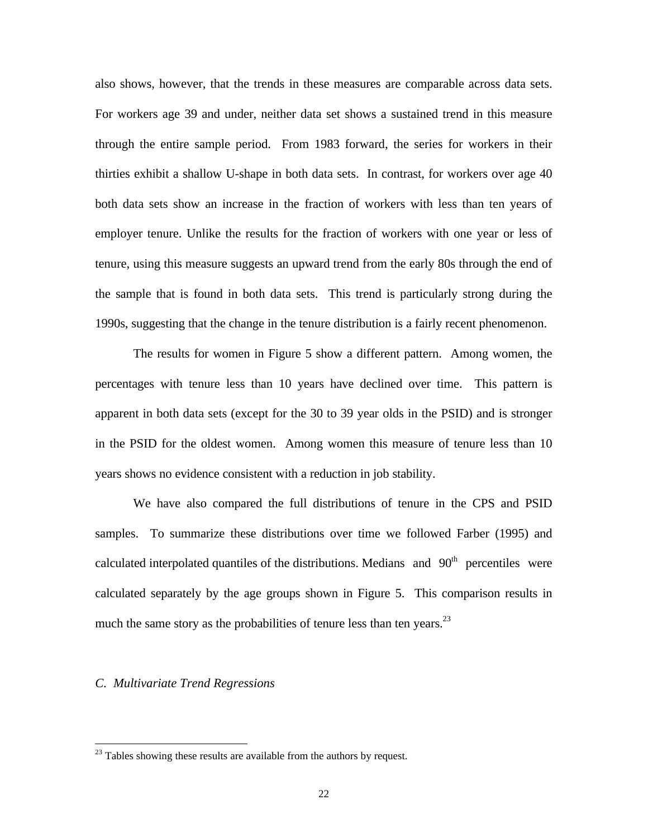also shows, however, that the trends in these measures are comparable across data sets. For workers age 39 and under, neither data set shows a sustained trend in this measure through the entire sample period. From 1983 forward, the series for workers in their thirties exhibit a shallow U-shape in both data sets. In contrast, for workers over age 40 both data sets show an increase in the fraction of workers with less than ten years of employer tenure. Unlike the results for the fraction of workers with one year or less of tenure, using this measure suggests an upward trend from the early 80s through the end of the sample that is found in both data sets. This trend is particularly strong during the 1990s, suggesting that the change in the tenure distribution is a fairly recent phenomenon.

The results for women in Figure 5 show a different pattern. Among women, the percentages with tenure less than 10 years have declined over time. This pattern is apparent in both data sets (except for the 30 to 39 year olds in the PSID) and is stronger in the PSID for the oldest women. Among women this measure of tenure less than 10 years shows no evidence consistent with a reduction in job stability.

We have also compared the full distributions of tenure in the CPS and PSID samples. To summarize these distributions over time we followed Farber (1995) and calculated interpolated quantiles of the distributions. Medians and  $90<sup>th</sup>$  percentiles were calculated separately by the age groups shown in Figure 5. This comparison results in much the same story as the probabilities of tenure less than ten years.<sup>23</sup>

### *C. Multivariate Trend Regressions*

 $\overline{a}$ 

 $^{23}$  Tables showing these results are available from the authors by request.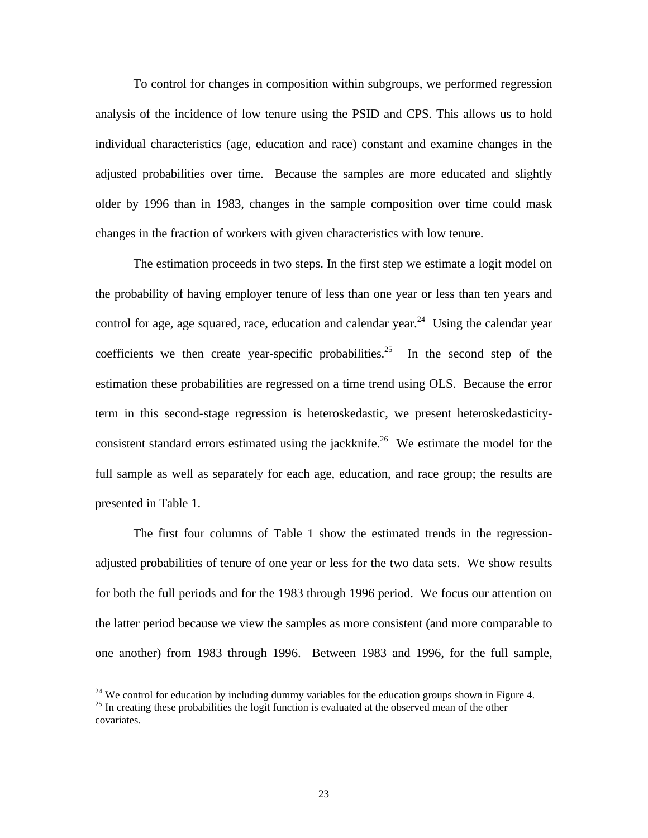To control for changes in composition within subgroups, we performed regression analysis of the incidence of low tenure using the PSID and CPS. This allows us to hold individual characteristics (age, education and race) constant and examine changes in the adjusted probabilities over time. Because the samples are more educated and slightly older by 1996 than in 1983, changes in the sample composition over time could mask changes in the fraction of workers with given characteristics with low tenure.

The estimation proceeds in two steps. In the first step we estimate a logit model on the probability of having employer tenure of less than one year or less than ten years and control for age, age squared, race, education and calendar year.<sup>24</sup> Using the calendar year coefficients we then create year-specific probabilities.<sup>25</sup> In the second step of the estimation these probabilities are regressed on a time trend using OLS. Because the error term in this second-stage regression is heteroskedastic, we present heteroskedasticityconsistent standard errors estimated using the jackknife.<sup>26</sup> We estimate the model for the full sample as well as separately for each age, education, and race group; the results are presented in Table 1.

The first four columns of Table 1 show the estimated trends in the regressionadjusted probabilities of tenure of one year or less for the two data sets. We show results for both the full periods and for the 1983 through 1996 period. We focus our attention on the latter period because we view the samples as more consistent (and more comparable to one another) from 1983 through 1996. Between 1983 and 1996, for the full sample,

1

 $24$  We control for education by including dummy variables for the education groups shown in Figure 4. <sup>25</sup> In creating these probabilities the logit function is evaluated at the observed mean of the other covariates.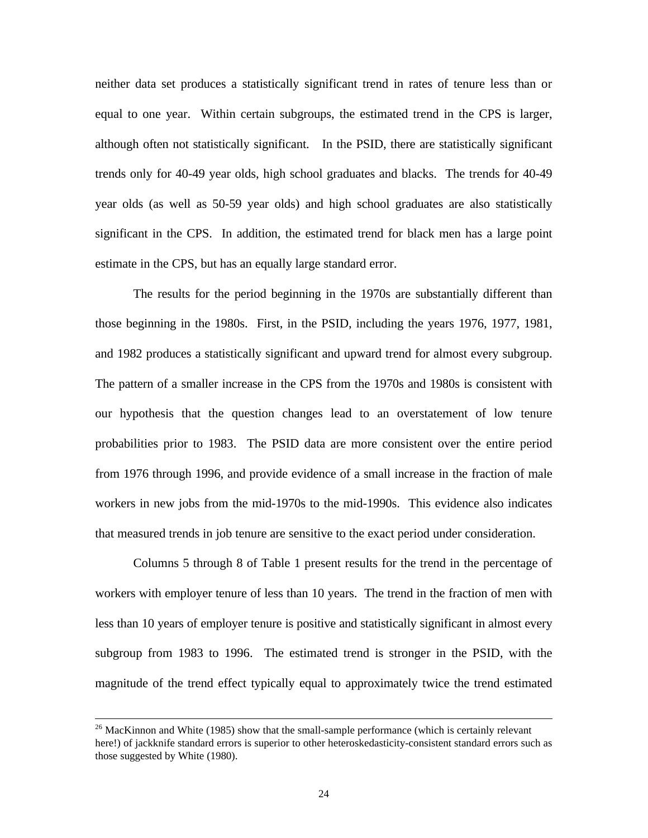neither data set produces a statistically significant trend in rates of tenure less than or equal to one year. Within certain subgroups, the estimated trend in the CPS is larger, although often not statistically significant. In the PSID, there are statistically significant trends only for 40-49 year olds, high school graduates and blacks. The trends for 40-49 year olds (as well as 50-59 year olds) and high school graduates are also statistically significant in the CPS. In addition, the estimated trend for black men has a large point estimate in the CPS, but has an equally large standard error.

The results for the period beginning in the 1970s are substantially different than those beginning in the 1980s. First, in the PSID, including the years 1976, 1977, 1981, and 1982 produces a statistically significant and upward trend for almost every subgroup. The pattern of a smaller increase in the CPS from the 1970s and 1980s is consistent with our hypothesis that the question changes lead to an overstatement of low tenure probabilities prior to 1983. The PSID data are more consistent over the entire period from 1976 through 1996, and provide evidence of a small increase in the fraction of male workers in new jobs from the mid-1970s to the mid-1990s. This evidence also indicates that measured trends in job tenure are sensitive to the exact period under consideration.

Columns 5 through 8 of Table 1 present results for the trend in the percentage of workers with employer tenure of less than 10 years. The trend in the fraction of men with less than 10 years of employer tenure is positive and statistically significant in almost every subgroup from 1983 to 1996. The estimated trend is stronger in the PSID, with the magnitude of the trend effect typically equal to approximately twice the trend estimated

-

 $26$  MacKinnon and White (1985) show that the small-sample performance (which is certainly relevant here!) of jackknife standard errors is superior to other heteroskedasticity-consistent standard errors such as those suggested by White (1980).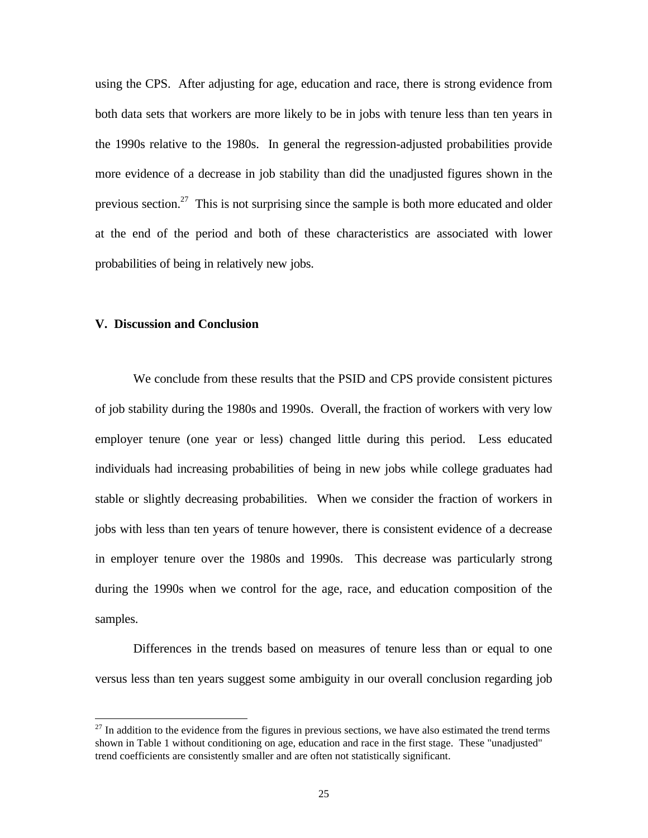using the CPS. After adjusting for age, education and race, there is strong evidence from both data sets that workers are more likely to be in jobs with tenure less than ten years in the 1990s relative to the 1980s. In general the regression-adjusted probabilities provide more evidence of a decrease in job stability than did the unadjusted figures shown in the previous section.<sup>27</sup> This is not surprising since the sample is both more educated and older at the end of the period and both of these characteristics are associated with lower probabilities of being in relatively new jobs.

### **V. Discussion and Conclusion**

 $\overline{a}$ 

We conclude from these results that the PSID and CPS provide consistent pictures of job stability during the 1980s and 1990s. Overall, the fraction of workers with very low employer tenure (one year or less) changed little during this period. Less educated individuals had increasing probabilities of being in new jobs while college graduates had stable or slightly decreasing probabilities. When we consider the fraction of workers in jobs with less than ten years of tenure however, there is consistent evidence of a decrease in employer tenure over the 1980s and 1990s. This decrease was particularly strong during the 1990s when we control for the age, race, and education composition of the samples.

Differences in the trends based on measures of tenure less than or equal to one versus less than ten years suggest some ambiguity in our overall conclusion regarding job

 $27$  In addition to the evidence from the figures in previous sections, we have also estimated the trend terms shown in Table 1 without conditioning on age, education and race in the first stage. These "unadjusted" trend coefficients are consistently smaller and are often not statistically significant.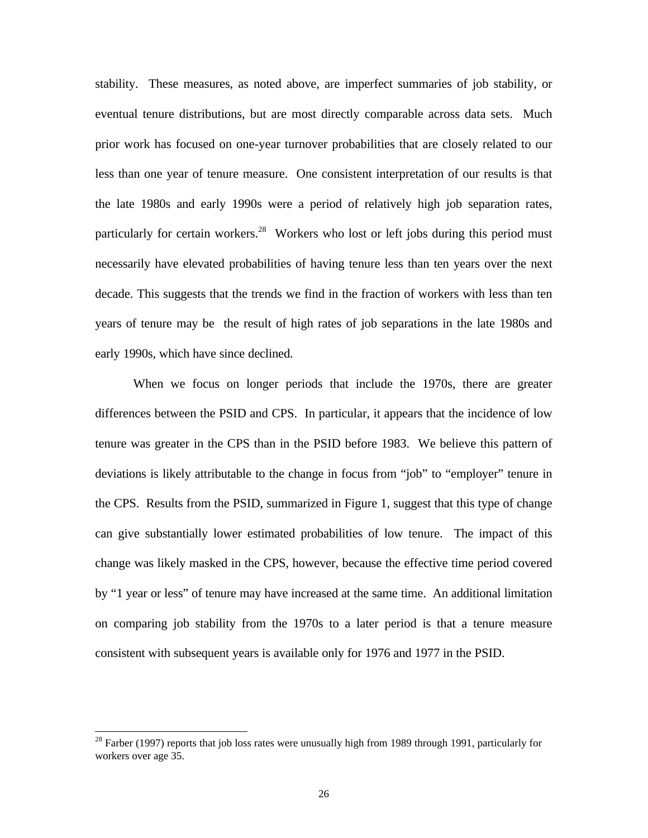stability. These measures, as noted above, are imperfect summaries of job stability, or eventual tenure distributions, but are most directly comparable across data sets. Much prior work has focused on one-year turnover probabilities that are closely related to our less than one year of tenure measure. One consistent interpretation of our results is that the late 1980s and early 1990s were a period of relatively high job separation rates, particularly for certain workers.<sup>28</sup> Workers who lost or left jobs during this period must necessarily have elevated probabilities of having tenure less than ten years over the next decade. This suggests that the trends we find in the fraction of workers with less than ten years of tenure may be the result of high rates of job separations in the late 1980s and early 1990s, which have since declined.

When we focus on longer periods that include the 1970s, there are greater differences between the PSID and CPS. In particular, it appears that the incidence of low tenure was greater in the CPS than in the PSID before 1983. We believe this pattern of deviations is likely attributable to the change in focus from "job" to "employer" tenure in the CPS. Results from the PSID, summarized in Figure 1, suggest that this type of change can give substantially lower estimated probabilities of low tenure. The impact of this change was likely masked in the CPS, however, because the effective time period covered by "1 year or less" of tenure may have increased at the same time. An additional limitation on comparing job stability from the 1970s to a later period is that a tenure measure consistent with subsequent years is available only for 1976 and 1977 in the PSID.

-

<sup>&</sup>lt;sup>28</sup> Farber (1997) reports that job loss rates were unusually high from 1989 through 1991, particularly for workers over age 35.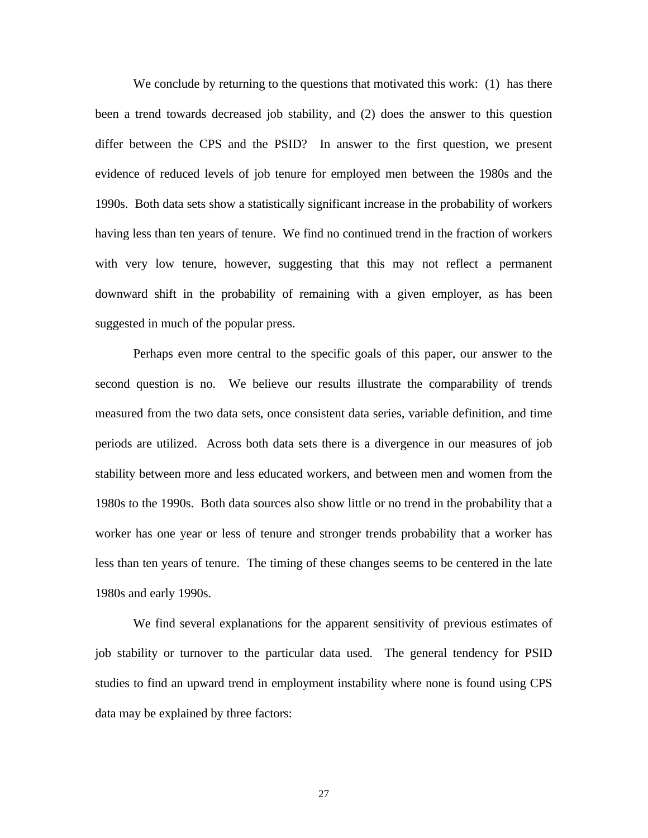We conclude by returning to the questions that motivated this work: (1) has there been a trend towards decreased job stability, and (2) does the answer to this question differ between the CPS and the PSID? In answer to the first question, we present evidence of reduced levels of job tenure for employed men between the 1980s and the 1990s. Both data sets show a statistically significant increase in the probability of workers having less than ten years of tenure. We find no continued trend in the fraction of workers with very low tenure, however, suggesting that this may not reflect a permanent downward shift in the probability of remaining with a given employer, as has been suggested in much of the popular press.

Perhaps even more central to the specific goals of this paper, our answer to the second question is no. We believe our results illustrate the comparability of trends measured from the two data sets, once consistent data series, variable definition, and time periods are utilized. Across both data sets there is a divergence in our measures of job stability between more and less educated workers, and between men and women from the 1980s to the 1990s. Both data sources also show little or no trend in the probability that a worker has one year or less of tenure and stronger trends probability that a worker has less than ten years of tenure. The timing of these changes seems to be centered in the late 1980s and early 1990s.

We find several explanations for the apparent sensitivity of previous estimates of job stability or turnover to the particular data used. The general tendency for PSID studies to find an upward trend in employment instability where none is found using CPS data may be explained by three factors:

27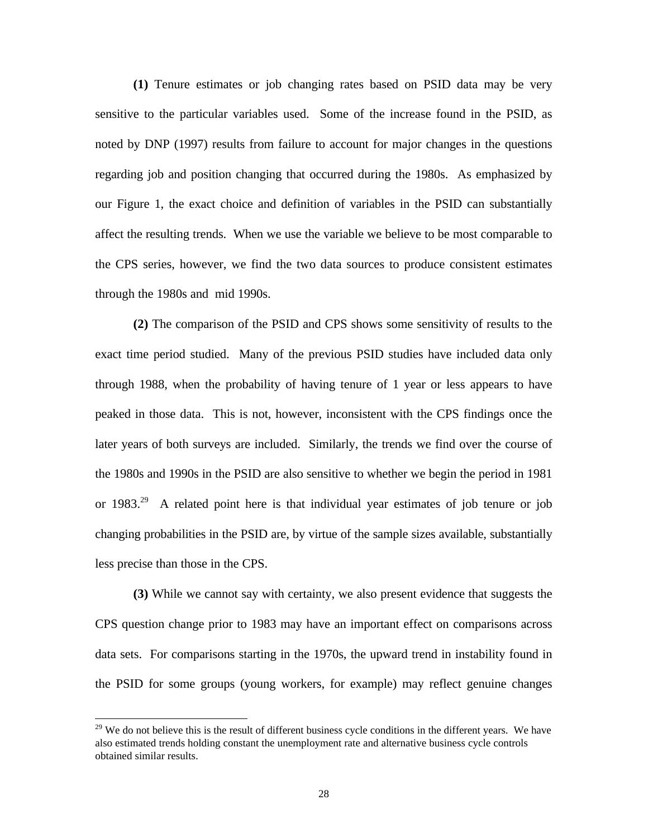**(1)** Tenure estimates or job changing rates based on PSID data may be very sensitive to the particular variables used. Some of the increase found in the PSID, as noted by DNP (1997) results from failure to account for major changes in the questions regarding job and position changing that occurred during the 1980s. As emphasized by our Figure 1, the exact choice and definition of variables in the PSID can substantially affect the resulting trends. When we use the variable we believe to be most comparable to the CPS series, however, we find the two data sources to produce consistent estimates through the 1980s and mid 1990s.

**(2)** The comparison of the PSID and CPS shows some sensitivity of results to the exact time period studied. Many of the previous PSID studies have included data only through 1988, when the probability of having tenure of 1 year or less appears to have peaked in those data. This is not, however, inconsistent with the CPS findings once the later years of both surveys are included. Similarly, the trends we find over the course of the 1980s and 1990s in the PSID are also sensitive to whether we begin the period in 1981 or  $1983<sup>29</sup>$  A related point here is that individual year estimates of job tenure or job changing probabilities in the PSID are, by virtue of the sample sizes available, substantially less precise than those in the CPS.

**(3)** While we cannot say with certainty, we also present evidence that suggests the CPS question change prior to 1983 may have an important effect on comparisons across data sets. For comparisons starting in the 1970s, the upward trend in instability found in the PSID for some groups (young workers, for example) may reflect genuine changes

-

<sup>&</sup>lt;sup>29</sup> We do not believe this is the result of different business cycle conditions in the different years. We have also estimated trends holding constant the unemployment rate and alternative business cycle controls obtained similar results.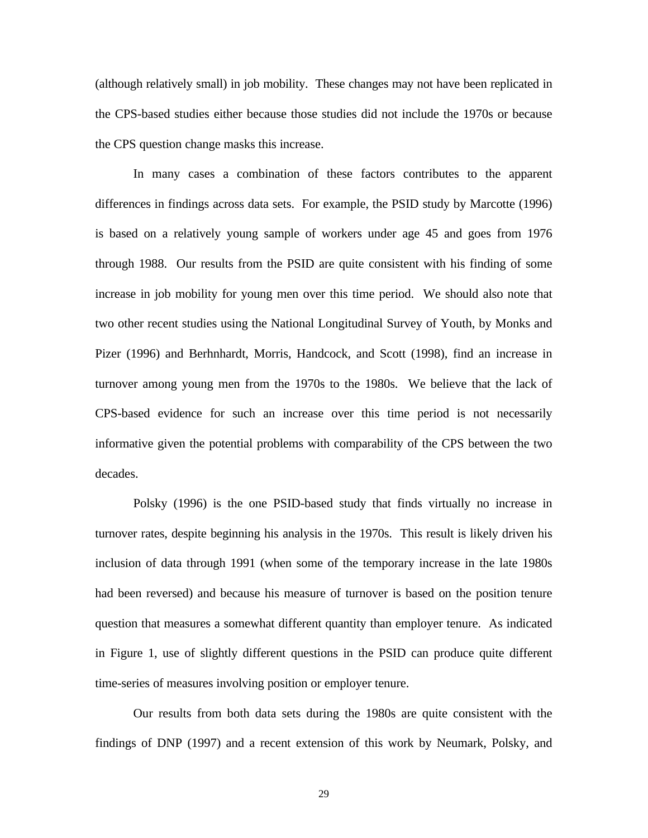(although relatively small) in job mobility. These changes may not have been replicated in the CPS-based studies either because those studies did not include the 1970s or because the CPS question change masks this increase.

In many cases a combination of these factors contributes to the apparent differences in findings across data sets. For example, the PSID study by Marcotte (1996) is based on a relatively young sample of workers under age 45 and goes from 1976 through 1988. Our results from the PSID are quite consistent with his finding of some increase in job mobility for young men over this time period. We should also note that two other recent studies using the National Longitudinal Survey of Youth, by Monks and Pizer (1996) and Berhnhardt, Morris, Handcock, and Scott (1998), find an increase in turnover among young men from the 1970s to the 1980s. We believe that the lack of CPS-based evidence for such an increase over this time period is not necessarily informative given the potential problems with comparability of the CPS between the two decades.

Polsky (1996) is the one PSID-based study that finds virtually no increase in turnover rates, despite beginning his analysis in the 1970s. This result is likely driven his inclusion of data through 1991 (when some of the temporary increase in the late 1980s had been reversed) and because his measure of turnover is based on the position tenure question that measures a somewhat different quantity than employer tenure. As indicated in Figure 1, use of slightly different questions in the PSID can produce quite different time-series of measures involving position or employer tenure.

Our results from both data sets during the 1980s are quite consistent with the findings of DNP (1997) and a recent extension of this work by Neumark, Polsky, and

29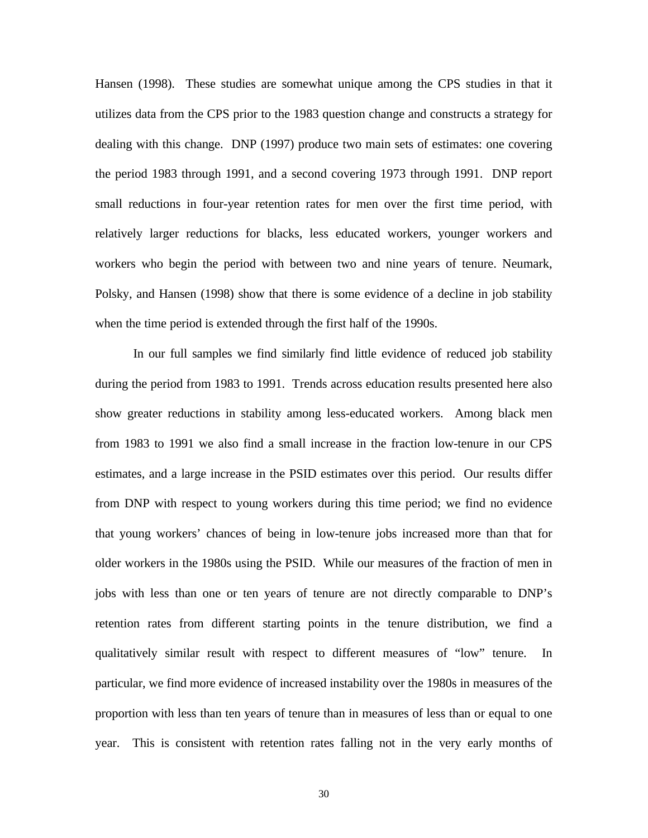Hansen (1998). These studies are somewhat unique among the CPS studies in that it utilizes data from the CPS prior to the 1983 question change and constructs a strategy for dealing with this change. DNP (1997) produce two main sets of estimates: one covering the period 1983 through 1991, and a second covering 1973 through 1991. DNP report small reductions in four-year retention rates for men over the first time period, with relatively larger reductions for blacks, less educated workers, younger workers and workers who begin the period with between two and nine years of tenure. Neumark, Polsky, and Hansen (1998) show that there is some evidence of a decline in job stability when the time period is extended through the first half of the 1990s.

In our full samples we find similarly find little evidence of reduced job stability during the period from 1983 to 1991. Trends across education results presented here also show greater reductions in stability among less-educated workers. Among black men from 1983 to 1991 we also find a small increase in the fraction low-tenure in our CPS estimates, and a large increase in the PSID estimates over this period. Our results differ from DNP with respect to young workers during this time period; we find no evidence that young workers' chances of being in low-tenure jobs increased more than that for older workers in the 1980s using the PSID. While our measures of the fraction of men in jobs with less than one or ten years of tenure are not directly comparable to DNP's retention rates from different starting points in the tenure distribution, we find a qualitatively similar result with respect to different measures of "low" tenure. In particular, we find more evidence of increased instability over the 1980s in measures of the proportion with less than ten years of tenure than in measures of less than or equal to one year. This is consistent with retention rates falling not in the very early months of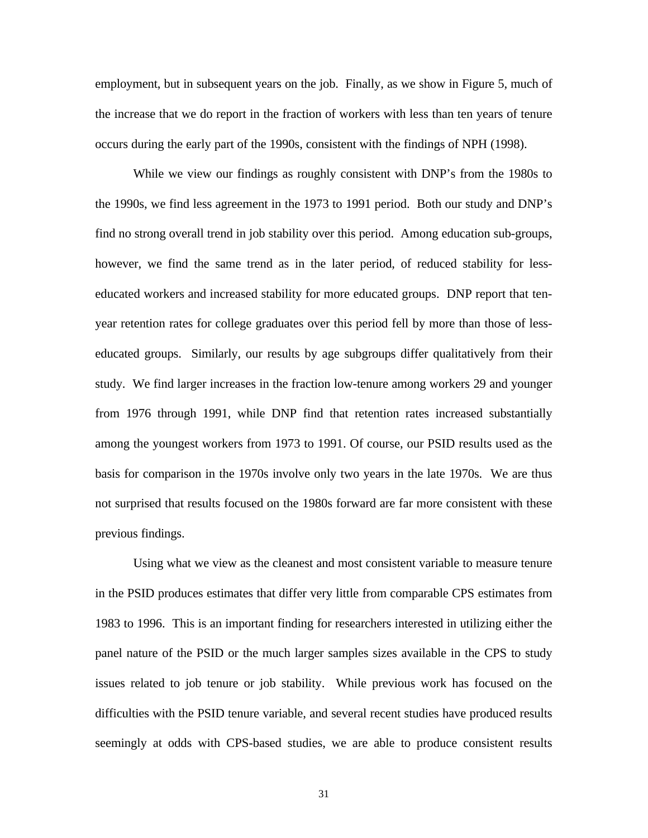employment, but in subsequent years on the job. Finally, as we show in Figure 5, much of the increase that we do report in the fraction of workers with less than ten years of tenure occurs during the early part of the 1990s, consistent with the findings of NPH (1998).

While we view our findings as roughly consistent with DNP's from the 1980s to the 1990s, we find less agreement in the 1973 to 1991 period. Both our study and DNP's find no strong overall trend in job stability over this period. Among education sub-groups, however, we find the same trend as in the later period, of reduced stability for lesseducated workers and increased stability for more educated groups. DNP report that tenyear retention rates for college graduates over this period fell by more than those of lesseducated groups. Similarly, our results by age subgroups differ qualitatively from their study. We find larger increases in the fraction low-tenure among workers 29 and younger from 1976 through 1991, while DNP find that retention rates increased substantially among the youngest workers from 1973 to 1991. Of course, our PSID results used as the basis for comparison in the 1970s involve only two years in the late 1970s. We are thus not surprised that results focused on the 1980s forward are far more consistent with these previous findings.

Using what we view as the cleanest and most consistent variable to measure tenure in the PSID produces estimates that differ very little from comparable CPS estimates from 1983 to 1996. This is an important finding for researchers interested in utilizing either the panel nature of the PSID or the much larger samples sizes available in the CPS to study issues related to job tenure or job stability. While previous work has focused on the difficulties with the PSID tenure variable, and several recent studies have produced results seemingly at odds with CPS-based studies, we are able to produce consistent results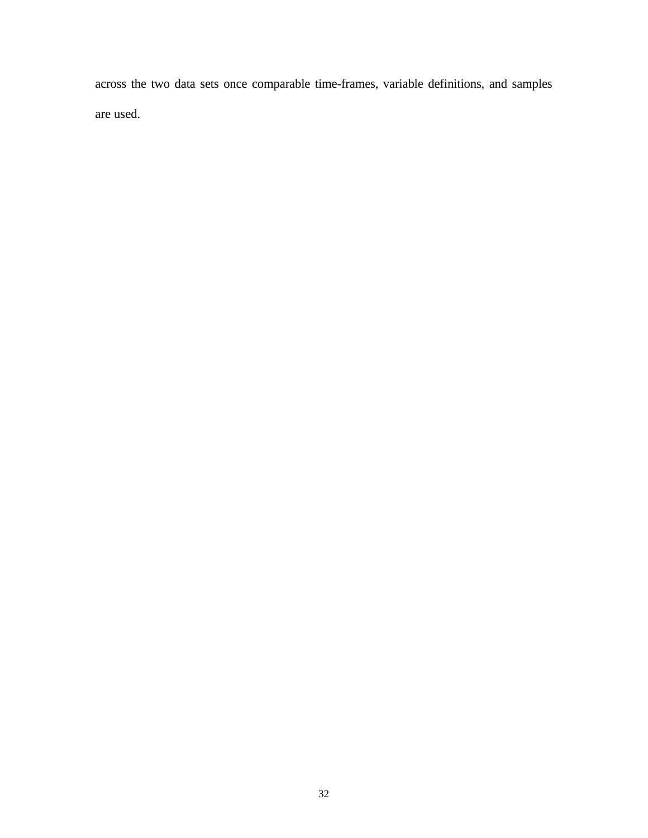across the two data sets once comparable time-frames, variable definitions, and samples are used.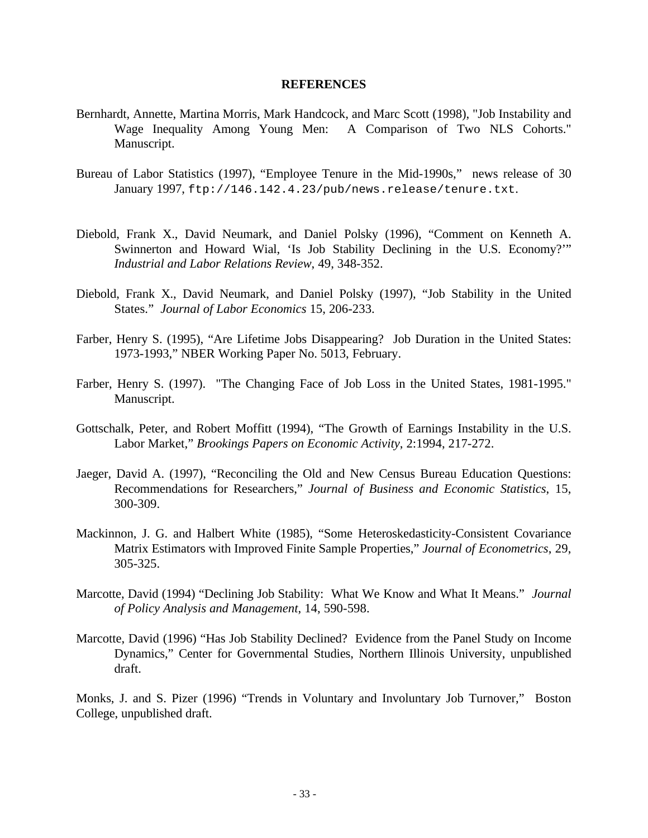### **REFERENCES**

- Bernhardt, Annette, Martina Morris, Mark Handcock, and Marc Scott (1998), "Job Instability and Wage Inequality Among Young Men: A Comparison of Two NLS Cohorts." Manuscript.
- Bureau of Labor Statistics (1997), "Employee Tenure in the Mid-1990s," news release of 30 January 1997, ftp://146.142.4.23/pub/news.release/tenure.txt.
- Diebold, Frank X., David Neumark, and Daniel Polsky (1996), "Comment on Kenneth A. Swinnerton and Howard Wial, 'Is Job Stability Declining in the U.S. Economy?'" *Industrial and Labor Relations Review*, 49, 348-352.
- Diebold, Frank X., David Neumark, and Daniel Polsky (1997), "Job Stability in the United States." *Journal of Labor Economics* 15, 206-233.
- Farber, Henry S. (1995), "Are Lifetime Jobs Disappearing? Job Duration in the United States: 1973-1993," NBER Working Paper No. 5013, February.
- Farber, Henry S. (1997). "The Changing Face of Job Loss in the United States, 1981-1995." Manuscript.
- Gottschalk, Peter, and Robert Moffitt (1994), "The Growth of Earnings Instability in the U.S. Labor Market," *Brookings Papers on Economic Activity*, 2:1994, 217-272.
- Jaeger, David A. (1997), "Reconciling the Old and New Census Bureau Education Questions: Recommendations for Researchers," *Journal of Business and Economic Statistics*, 15, 300-309.
- Mackinnon, J. G. and Halbert White (1985), "Some Heteroskedasticity-Consistent Covariance Matrix Estimators with Improved Finite Sample Properties," *Journal of Econometrics*, 29, 305-325.
- Marcotte, David (1994) "Declining Job Stability: What We Know and What It Means." *Journal of Policy Analysis and Management*, 14, 590-598.
- Marcotte, David (1996) "Has Job Stability Declined? Evidence from the Panel Study on Income Dynamics," Center for Governmental Studies, Northern Illinois University, unpublished draft.

Monks, J. and S. Pizer (1996) "Trends in Voluntary and Involuntary Job Turnover," Boston College, unpublished draft.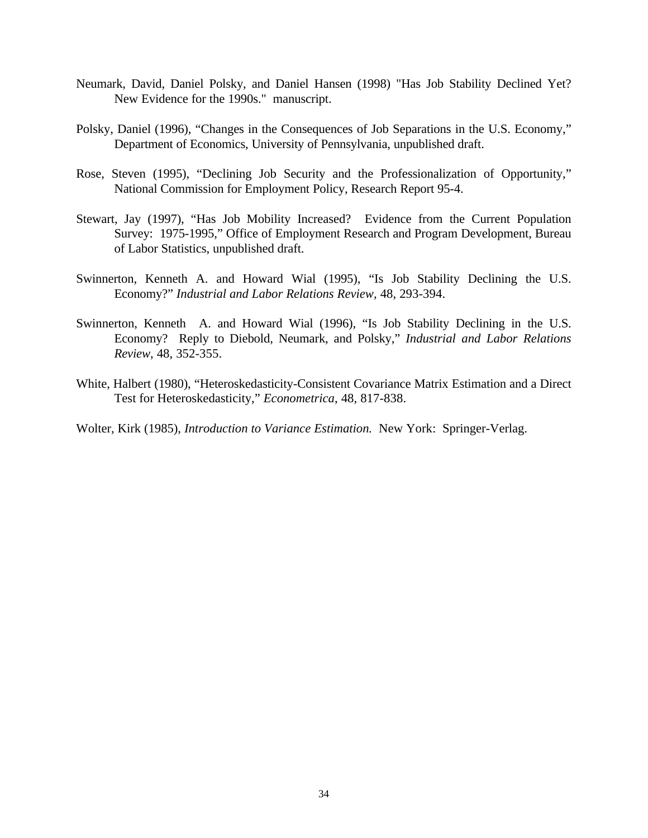- Neumark, David, Daniel Polsky, and Daniel Hansen (1998) "Has Job Stability Declined Yet? New Evidence for the 1990s." manuscript.
- Polsky, Daniel (1996), "Changes in the Consequences of Job Separations in the U.S. Economy," Department of Economics, University of Pennsylvania, unpublished draft.
- Rose, Steven (1995), "Declining Job Security and the Professionalization of Opportunity," National Commission for Employment Policy, Research Report 95-4.
- Stewart, Jay (1997), "Has Job Mobility Increased? Evidence from the Current Population Survey: 1975-1995," Office of Employment Research and Program Development, Bureau of Labor Statistics, unpublished draft.
- Swinnerton, Kenneth A. and Howard Wial (1995), "Is Job Stability Declining the U.S. Economy?" *Industrial and Labor Relations Review*, 48, 293-394.
- Swinnerton, Kenneth A. and Howard Wial (1996), "Is Job Stability Declining in the U.S. Economy? Reply to Diebold, Neumark, and Polsky," *Industrial and Labor Relations Review*, 48, 352-355.
- White, Halbert (1980), "Heteroskedasticity-Consistent Covariance Matrix Estimation and a Direct Test for Heteroskedasticity," *Econometrica*, 48, 817-838.
- Wolter, Kirk (1985), *Introduction to Variance Estimation.* New York: Springer-Verlag.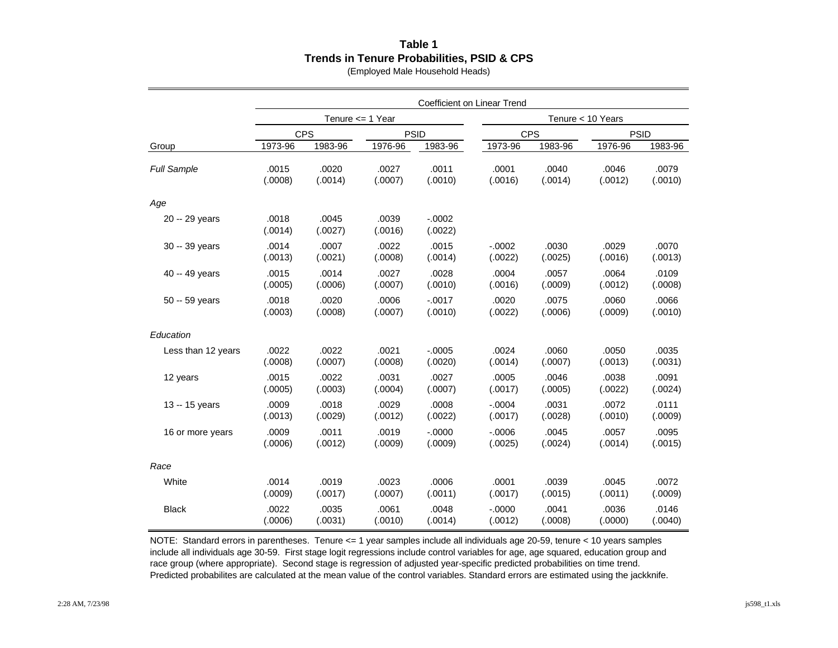# **Table 1 Trends in Tenure Probabilities, PSID & CPS**

|  | (Employed Male Household Heads) |
|--|---------------------------------|
|--|---------------------------------|

|                    | Coefficient on Linear Trend |                  |                  |                      |            |         |             |         |  |
|--------------------|-----------------------------|------------------|------------------|----------------------|------------|---------|-------------|---------|--|
| Group              | Tenure <= 1 Year            |                  |                  | Tenure < 10 Years    |            |         |             |         |  |
|                    | <b>CPS</b>                  |                  | <b>PSID</b>      |                      | <b>CPS</b> |         | <b>PSID</b> |         |  |
|                    | 1973-96                     | 1983-96          | 1976-96          | 1983-96              | 1973-96    | 1983-96 | 1976-96     | 1983-96 |  |
| <b>Full Sample</b> | .0015                       | .0020            | .0027            | .0011                | .0001      | .0040   | .0046       | .0079   |  |
|                    | (.0008)                     | (.0014)          | (.0007)          | (.0010)              | (.0016)    | (.0014) | (.0012)     | (.0010) |  |
| Age                |                             |                  |                  |                      |            |         |             |         |  |
| 20 -- 29 years     | .0018<br>(.0014)            | .0045<br>(.0027) | .0039<br>(.0016) | $-0.0002$<br>(.0022) |            |         |             |         |  |
| 30 -- 39 years     | .0014                       | .0007            | .0022            | .0015                | $-0.0002$  | .0030   | .0029       | .0070   |  |
|                    | (.0013)                     | (.0021)          | (.0008)          | (.0014)              | (.0022)    | (.0025) | (.0016)     | (.0013) |  |
| 40 -- 49 years     | .0015                       | .0014            | .0027            | .0028                | .0004      | .0057   | .0064       | .0109   |  |
|                    | (.0005)                     | (.0006)          | (.0007)          | (.0010)              | (.0016)    | (.0009) | (.0012)     | (.0008) |  |
| 50 -- 59 years     | .0018                       | .0020            | .0006            | $-0.017$             | .0020      | .0075   | .0060       | .0066   |  |
|                    | (.0003)                     | (.0008)          | (.0007)          | (.0010)              | (.0022)    | (.0006) | (.0009)     | (.0010) |  |
| Education          |                             |                  |                  |                      |            |         |             |         |  |
| Less than 12 years | .0022                       | .0022            | .0021            | $-0.0005$            | .0024      | .0060   | .0050       | .0035   |  |
|                    | (.0008)                     | (.0007)          | (.0008)          | (.0020)              | (.0014)    | (.0007) | (.0013)     | (.0031) |  |
| 12 years           | .0015                       | .0022            | .0031            | .0027                | .0005      | .0046   | .0038       | .0091   |  |
|                    | (.0005)                     | (.0003)          | (.0004)          | (.0007)              | (.0017)    | (.0005) | (.0022)     | (.0024) |  |
| 13 -- 15 years     | .0009                       | .0018            | .0029            | .0008                | $-.0004$   | .0031   | .0072       | .0111   |  |
|                    | (.0013)                     | (.0029)          | (.0012)          | (.0022)              | (.0017)    | (.0028) | (.0010)     | (.0009) |  |
| 16 or more years   | .0009                       | .0011            | .0019            | $-0.0000$            | $-0.0006$  | .0045   | .0057       | .0095   |  |
|                    | (.0006)                     | (.0012)          | (.0009)          | (.0009)              | (.0025)    | (.0024) | (.0014)     | (.0015) |  |
| Race               |                             |                  |                  |                      |            |         |             |         |  |
| White              | .0014                       | .0019            | .0023            | .0006                | .0001      | .0039   | .0045       | .0072   |  |
|                    | (.0009)                     | (.0017)          | (.0007)          | (.0011)              | (.0017)    | (.0015) | (.0011)     | (.0009) |  |
| <b>Black</b>       | .0022                       | .0035            | .0061            | .0048                | $-.0000$   | .0041   | .0036       | .0146   |  |
|                    | (.0006)                     | (.0031)          | (.0010)          | (.0014)              | (.0012)    | (.0008) | (.0000)     | (.0040) |  |

NOTE: Standard errors in parentheses. Tenure <= 1 year samples include all individuals age 20-59, tenure < 10 years samples include all individuals age 30-59. First stage logit regressions include control variables for age, age squared, education group and race group (where appropriate). Second stage is regression of adjusted year-specific predicted probabilities on time trend. Predicted probabilites are calculated at the mean value of the control variables. Standard errors are estimated using the jackknife.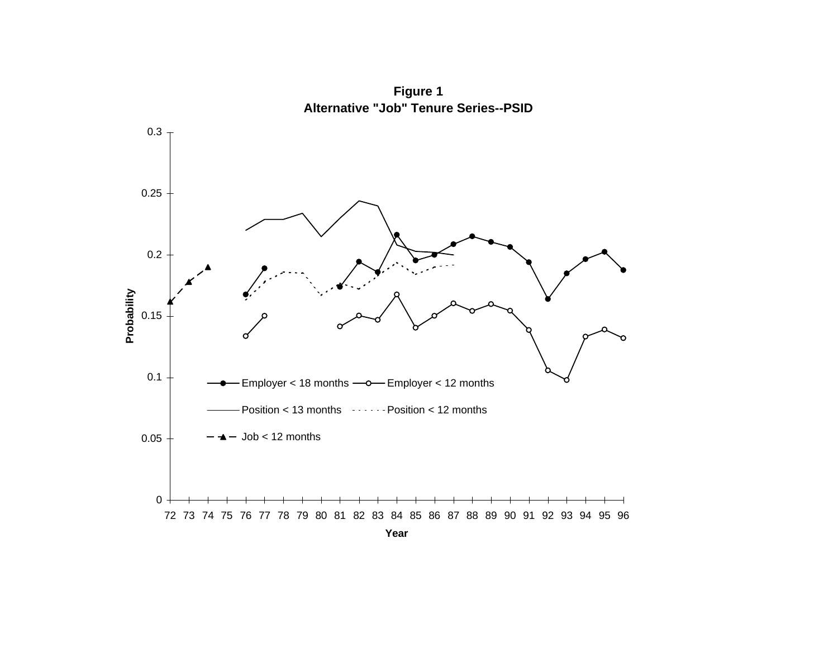

**Figure 1 Alternative "Job" Tenure Series--PSID**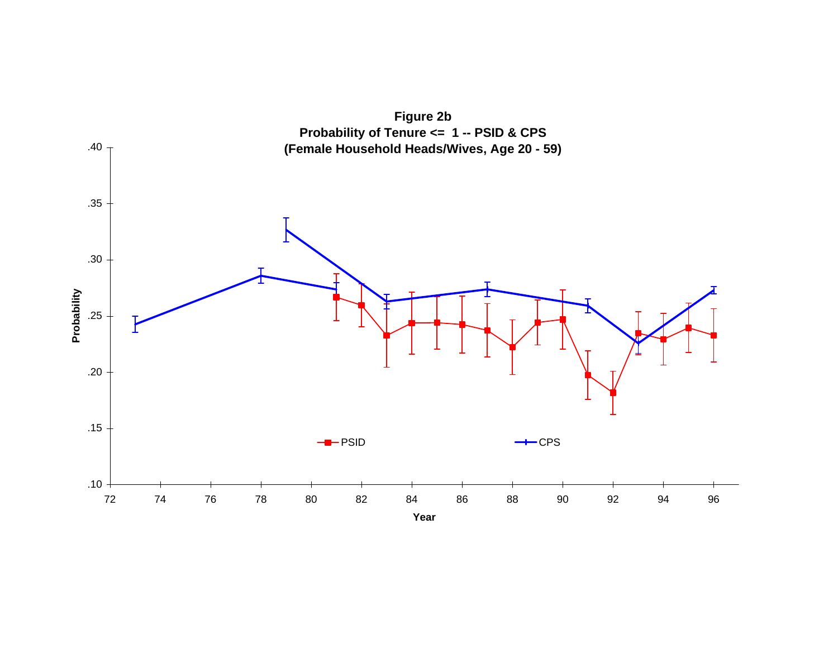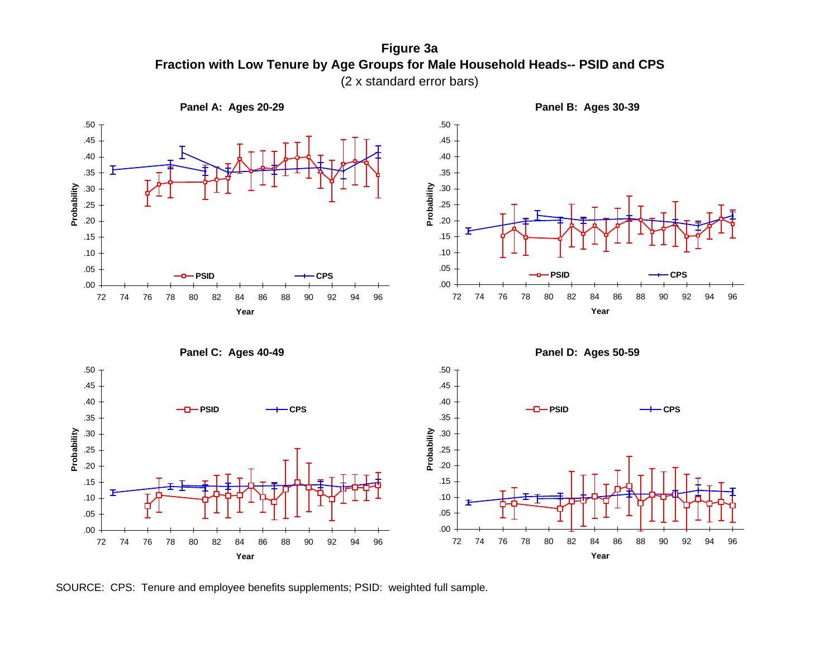**Figure 3a Fraction with Low Tenure by Age Groups for Male Household Heads-- PSID and CPS**



SOURCE: CPS: Tenure and employee benefits supplements; PSID: weighted full sample.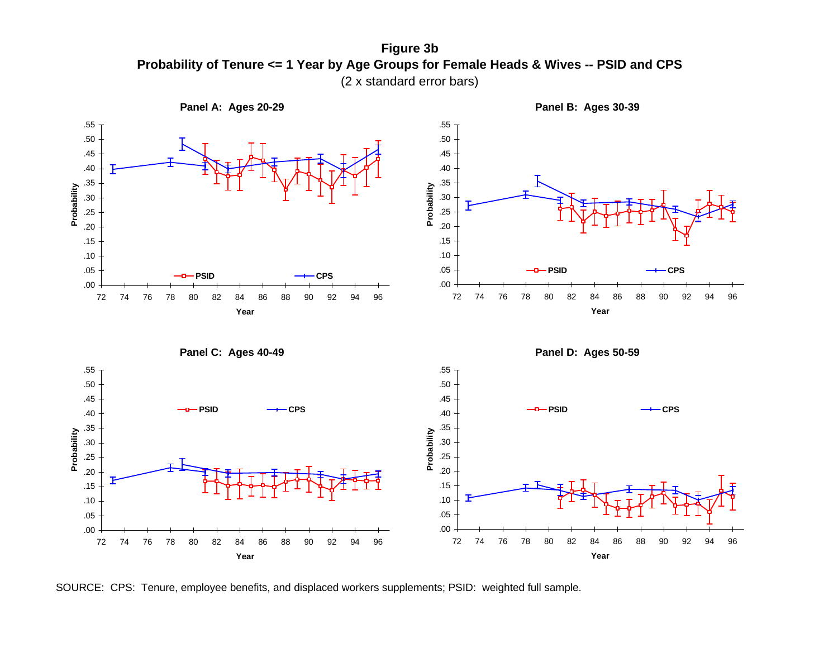(2 x standard error bars) **Figure 3b Probability of Tenure <= 1 Year by Age Groups for Female Heads & Wives -- PSID and CPS**



SOURCE: CPS: Tenure, employee benefits, and displaced workers supplements; PSID: weighted full sample.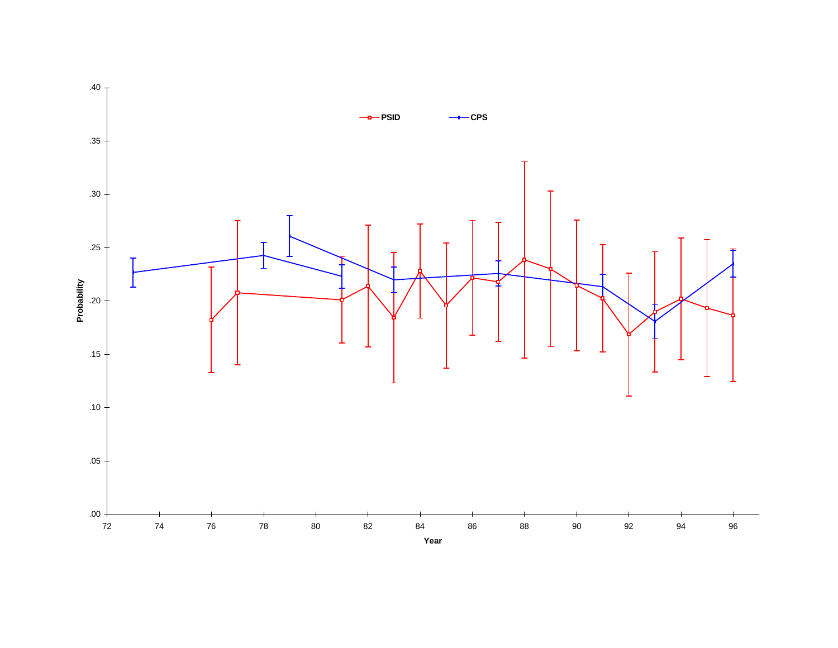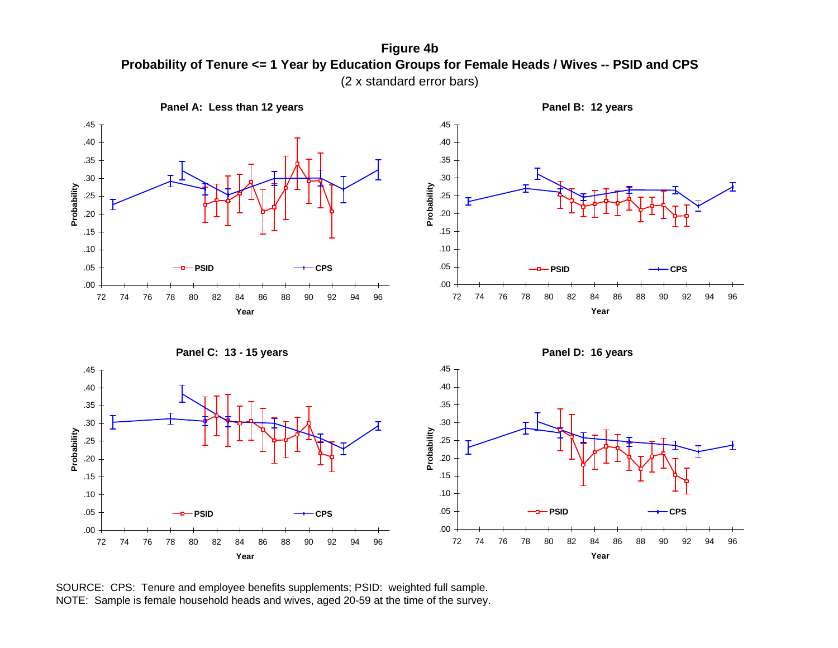(2 x standard error bars) **Figure 4b Probability of Tenure <= 1 Year by Education Groups for Female Heads / Wives -- PSID and CPS**



SOURCE: CPS: Tenure and employee benefits supplements; PSID: weighted full sample. NOTE: Sample is female household heads and wives, aged 20-59 at the time of the survey.